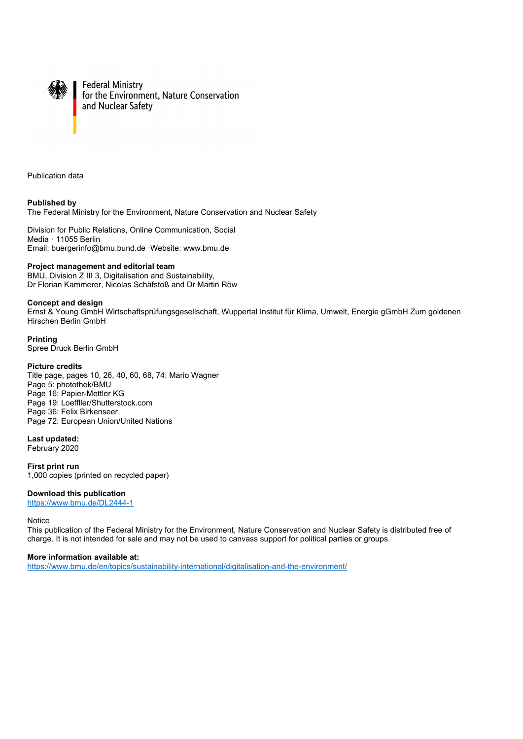

**Federal Ministry** for the Environment, Nature Conservation and Nuclear Safety

Publication data

**Published by**  The Federal Ministry for the Environment, Nature Conservation and Nuclear Safety

Division for Public Relations, Online Communication, Social Media · 11055 Berlin Email: [buergerinfo@bmu.bund.de](mailto:buergerinfo@bmu.bund.de) ·Website: [www.bmu.de](https://www.bmu.de) 

#### **Project management and editorial team**

BMU, Division Z III 3, Digitalisation and Sustainability, Dr Florian Kammerer, Nicolas Schäfstoß and Dr Martin Röw

#### **Concept and design**

Ernst & Young GmbH Wirtschaftsprüfungsgesellschaft, Wuppertal Institut für Klima, Umwelt, Energie gGmbH Zum goldenen Hirschen Berlin GmbH

#### **Printing**

Spree Druck Berlin GmbH

#### **Picture credits**

Title page, pages 10, 26, 40, 60, 68, 74: Mario Wagner Page 5: photothek/BMU Page 16: Papier-Mettler KG Page 19: Loeffller/Shutterstock.com Page 36: Felix Birkenseer Page 72: European Union/United Nations

#### **Last updated:**

February 2020

**First print run**  1,000 copies (printed on recycled paper)

#### **Download this publication**

<https://www.bmu.de/DL2444-1>

**Notice** 

This publication of the Federal Ministry for the Environment, Nature Conservation and Nuclear Safety is distributed free of charge. It is not intended for sale and may not be used to canvass support for political parties or groups.

#### **More information available at:**

<https://www.bmu.de/en/topics/sustainability-international/digitalisation-and-the-environment/>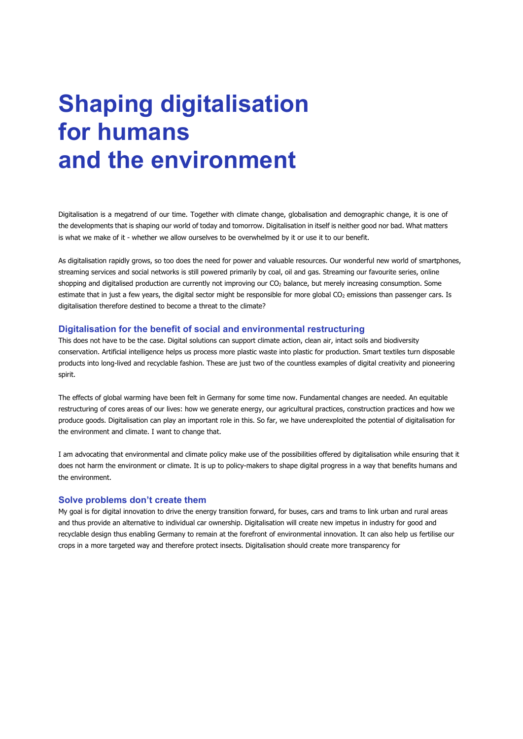# **Shaping digitalisation for humans and the environment**

Digitalisation is a megatrend of our time. Together with climate change, globalisation and demographic change, it is one of the developments that is shaping our world of today and tomorrow. Digitalisation in itself is neither good nor bad. What matters is what we make of it - whether we allow ourselves to be overwhelmed by it or use it to our benefit.

As digitalisation rapidly grows, so too does the need for power and valuable resources. Our wonderful new world of smartphones, streaming services and social networks is still powered primarily by coal, oil and gas. Streaming our favourite series, online shopping and digitalised production are currently not improving our CO<sub>2</sub> balance, but merely increasing consumption. Some estimate that in just a few years, the digital sector might be responsible for more global CO<sub>2</sub> emissions than passenger cars. Is digitalisation therefore destined to become a threat to the climate?

#### **Digitalisation for the benefit of social and environmental restructuring**

This does not have to be the case. Digital solutions can support climate action, clean air, intact soils and biodiversity conservation. Artificial intelligence helps us process more plastic waste into plastic for production. Smart textiles turn disposable products into long-lived and recyclable fashion. These are just two of the countless examples of digital creativity and pioneering spirit.

The effects of global warming have been felt in Germany for some time now. Fundamental changes are needed. An equitable restructuring of cores areas of our lives: how we generate energy, our agricultural practices, construction practices and how we produce goods. Digitalisation can play an important role in this. So far, we have underexploited the potential of digitalisation for the environment and climate. I want to change that.

I am advocating that environmental and climate policy make use of the possibilities offered by digitalisation while ensuring that it does not harm the environment or climate. It is up to policy-makers to shape digital progress in a way that benefits humans and the environment.

#### **Solve problems don't create them**

My goal is for digital innovation to drive the energy transition forward, for buses, cars and trams to link urban and rural areas and thus provide an alternative to individual car ownership. Digitalisation will create new impetus in industry for good and recyclable design thus enabling Germany to remain at the forefront of environmental innovation. It can also help us fertilise our crops in a more targeted way and therefore protect insects. Digitalisation should create more transparency for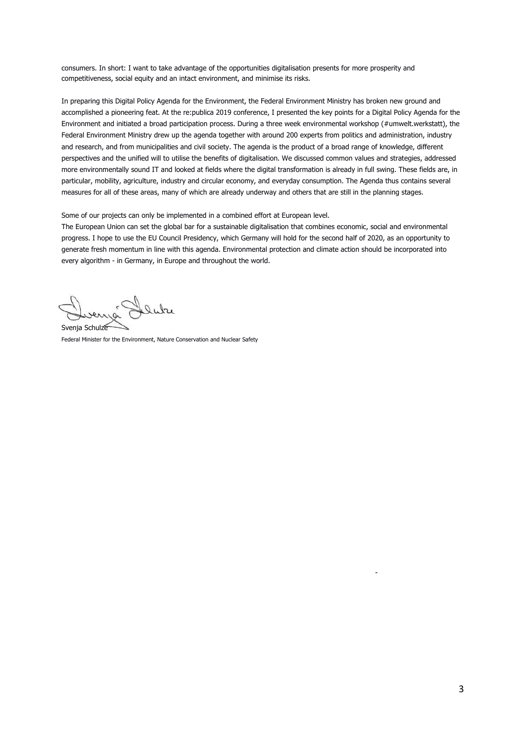consumers. In short: I want to take advantage of the opportunities digitalisation presents for more prosperity and competitiveness, social equity and an intact environment, and minimise its risks.

In preparing this Digital Policy Agenda for the Environment, the Federal Environment Ministry has broken new ground and accomplished a pioneering feat. At the re:publica 2019 conference, I presented the key points for a Digital Policy Agenda for the Environment and initiated a broad participation process. During a three week environmental workshop (#umwelt.werkstatt), the Federal Environment Ministry drew up the agenda together with around 200 experts from politics and administration, industry and research, and from municipalities and civil society. The agenda is the product of a broad range of knowledge, different perspectives and the unified will to utilise the benefits of digitalisation. We discussed common values and strategies, addressed more environmentally sound IT and looked at fields where the digital transformation is already in full swing. These fields are, in particular, mobility, agriculture, industry and circular economy, and everyday consumption. The Agenda thus contains several measures for all of these areas, many of which are already underway and others that are still in the planning stages.

Some of our projects can only be implemented in a combined effort at European level.

The European Union can set the global bar for a sustainable digitalisation that combines economic, social and environmental progress. I hope to use the EU Council Presidency, which Germany will hold for the second half of 2020, as an opportunity to generate fresh momentum in line with this agenda. Environmental protection and climate action should be incorporated into every algorithm - in Germany, in Europe and throughout the world.

Svenja Schulze

Federal Minister for the Environment, Nature Conservation and Nuclear Safety

-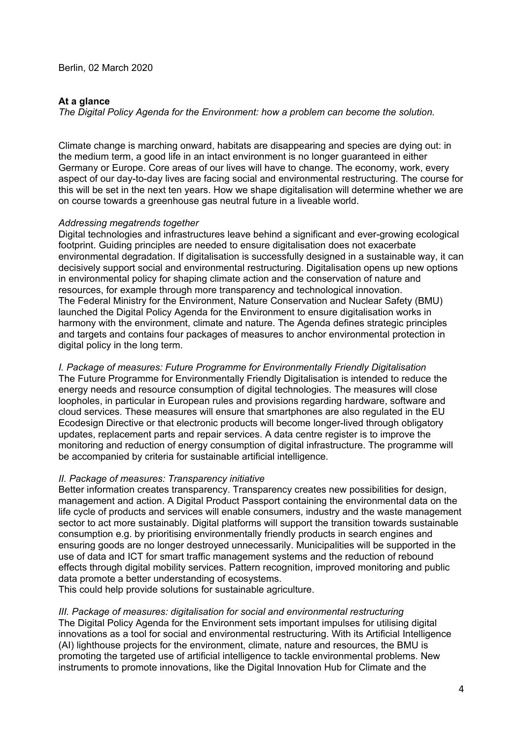# **At a glance**

*The Digital Policy Agenda for the Environment: how a problem can become the solution.* 

Climate change is marching onward, habitats are disappearing and species are dying out: in the medium term, a good life in an intact environment is no longer guaranteed in either Germany or Europe. Core areas of our lives will have to change. The economy, work, every aspect of our day-to-day lives are facing social and environmental restructuring. The course for this will be set in the next ten years. How we shape digitalisation will determine whether we are on course towards a greenhouse gas neutral future in a liveable world.

# *Addressing megatrends together*

Digital technologies and infrastructures leave behind a significant and ever-growing ecological footprint. Guiding principles are needed to ensure digitalisation does not exacerbate environmental degradation. If digitalisation is successfully designed in a sustainable way, it can decisively support social and environmental restructuring. Digitalisation opens up new options in environmental policy for shaping climate action and the conservation of nature and resources, for example through more transparency and technological innovation. The Federal Ministry for the Environment, Nature Conservation and Nuclear Safety (BMU) launched the Digital Policy Agenda for the Environment to ensure digitalisation works in harmony with the environment, climate and nature. The Agenda defines strategic principles and targets and contains four packages of measures to anchor environmental protection in digital policy in the long term.

*I. Package of measures: Future Programme for Environmentally Friendly Digitalisation* 

The Future Programme for Environmentally Friendly Digitalisation is intended to reduce the energy needs and resource consumption of digital technologies. The measures will close loopholes, in particular in European rules and provisions regarding hardware, software and cloud services. These measures will ensure that smartphones are also regulated in the EU Ecodesign Directive or that electronic products will become longer-lived through obligatory updates, replacement parts and repair services. A data centre register is to improve the monitoring and reduction of energy consumption of digital infrastructure. The programme will be accompanied by criteria for sustainable artificial intelligence.

## *II. Package of measures: Transparency initiative*

Better information creates transparency. Transparency creates new possibilities for design, management and action. A Digital Product Passport containing the environmental data on the life cycle of products and services will enable consumers, industry and the waste management sector to act more sustainably. Digital platforms will support the transition towards sustainable consumption e.g. by prioritising environmentally friendly products in search engines and ensuring goods are no longer destroyed unnecessarily. Municipalities will be supported in the use of data and ICT for smart traffic management systems and the reduction of rebound effects through digital mobility services. Pattern recognition, improved monitoring and public data promote a better understanding of ecosystems.

This could help provide solutions for sustainable agriculture.

## *III. Package of measures: digitalisation for social and environmental restructuring*

The Digital Policy Agenda for the Environment sets important impulses for utilising digital innovations as a tool for social and environmental restructuring. With its Artificial Intelligence (AI) lighthouse projects for the environment, climate, nature and resources, the BMU is promoting the targeted use of artificial intelligence to tackle environmental problems. New instruments to promote innovations, like the Digital Innovation Hub for Climate and the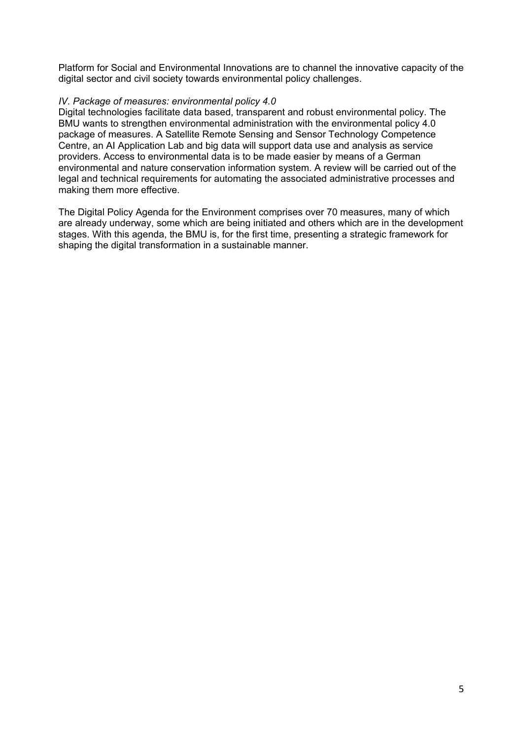Platform for Social and Environmental Innovations are to channel the innovative capacity of the digital sector and civil society towards environmental policy challenges.

# *IV. Package of measures: environmental policy 4.0*

Digital technologies facilitate data based, transparent and robust environmental policy. The BMU wants to strengthen environmental administration with the environmental policy 4.0 package of measures. A Satellite Remote Sensing and Sensor Technology Competence Centre, an AI Application Lab and big data will support data use and analysis as service providers. Access to environmental data is to be made easier by means of a German environmental and nature conservation information system. A review will be carried out of the legal and technical requirements for automating the associated administrative processes and making them more effective.

The Digital Policy Agenda for the Environment comprises over 70 measures, many of which are already underway, some which are being initiated and others which are in the development stages. With this agenda, the BMU is, for the first time, presenting a strategic framework for shaping the digital transformation in a sustainable manner.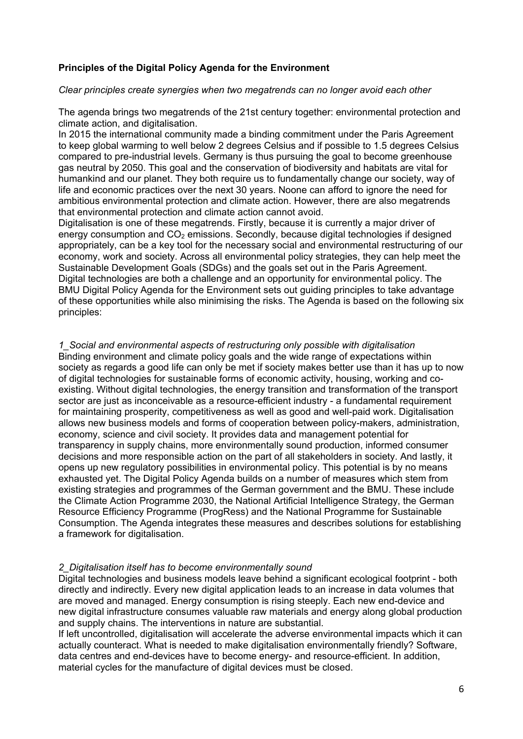# **Principles of the Digital Policy Agenda for the Environment**

# *Clear principles create synergies when two megatrends can no longer avoid each other*

The agenda brings two megatrends of the 21st century together: environmental protection and climate action, and digitalisation.

In 2015 the international community made a binding commitment under the Paris Agreement to keep global warming to well below 2 degrees Celsius and if possible to 1.5 degrees Celsius compared to pre-industrial levels. Germany is thus pursuing the goal to become greenhouse gas neutral by 2050. This goal and the conservation of biodiversity and habitats are vital for humankind and our planet. They both require us to fundamentally change our society, way of life and economic practices over the next 30 years. Noone can afford to ignore the need for ambitious environmental protection and climate action. However, there are also megatrends that environmental protection and climate action cannot avoid.

Digitalisation is one of these megatrends. Firstly, because it is currently a major driver of energy consumption and  $CO<sub>2</sub>$  emissions. Secondly, because digital technologies if designed appropriately, can be a key tool for the necessary social and environmental restructuring of our economy, work and society. Across all environmental policy strategies, they can help meet the Sustainable Development Goals (SDGs) and the goals set out in the Paris Agreement. Digital technologies are both a challenge and an opportunity for environmental policy. The BMU Digital Policy Agenda for the Environment sets out guiding principles to take advantage of these opportunities while also minimising the risks. The Agenda is based on the following six principles:

*1\_Social and environmental aspects of restructuring only possible with digitalisation*  Binding environment and climate policy goals and the wide range of expectations within society as regards a good life can only be met if society makes better use than it has up to now of digital technologies for sustainable forms of economic activity, housing, working and coexisting. Without digital technologies, the energy transition and transformation of the transport sector are just as inconceivable as a resource-efficient industry - a fundamental requirement for maintaining prosperity, competitiveness as well as good and well-paid work. Digitalisation allows new business models and forms of cooperation between policy-makers, administration, economy, science and civil society. It provides data and management potential for transparency in supply chains, more environmentally sound production, informed consumer decisions and more responsible action on the part of all stakeholders in society. And lastly, it opens up new regulatory possibilities in environmental policy. This potential is by no means exhausted yet. The Digital Policy Agenda builds on a number of measures which stem from existing strategies and programmes of the German government and the BMU. These include the Climate Action Programme 2030, the National Artificial Intelligence Strategy, the German Resource Efficiency Programme (ProgRess) and the National Programme for Sustainable Consumption. The Agenda integrates these measures and describes solutions for establishing a framework for digitalisation.

# *2\_Digitalisation itself has to become environmentally sound*

Digital technologies and business models leave behind a significant ecological footprint - both directly and indirectly. Every new digital application leads to an increase in data volumes that are moved and managed. Energy consumption is rising steeply. Each new end-device and new digital infrastructure consumes valuable raw materials and energy along global production and supply chains. The interventions in nature are substantial.

If left uncontrolled, digitalisation will accelerate the adverse environmental impacts which it can actually counteract. What is needed to make digitalisation environmentally friendly? Software, data centres and end-devices have to become energy- and resource-efficient. In addition, material cycles for the manufacture of digital devices must be closed.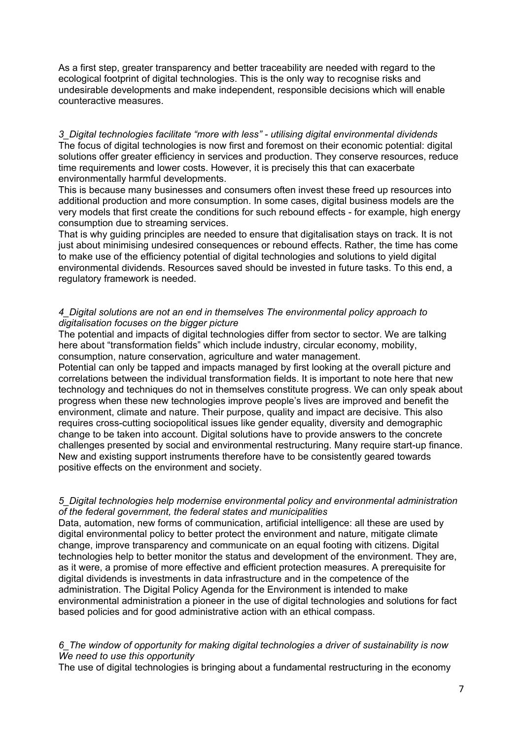As a first step, greater transparency and better traceability are needed with regard to the ecological footprint of digital technologies. This is the only way to recognise risks and undesirable developments and make independent, responsible decisions which will enable counteractive measures.

*3\_Digital technologies facilitate "more with less" - utilising digital environmental dividends*  The focus of digital technologies is now first and foremost on their economic potential: digital solutions offer greater efficiency in services and production. They conserve resources, reduce time requirements and lower costs. However, it is precisely this that can exacerbate environmentally harmful developments.

This is because many businesses and consumers often invest these freed up resources into additional production and more consumption. In some cases, digital business models are the very models that first create the conditions for such rebound effects - for example, high energy consumption due to streaming services.

That is why guiding principles are needed to ensure that digitalisation stays on track. It is not just about minimising undesired consequences or rebound effects. Rather, the time has come to make use of the efficiency potential of digital technologies and solutions to yield digital environmental dividends. Resources saved should be invested in future tasks. To this end, a regulatory framework is needed.

# *4\_Digital solutions are not an end in themselves The environmental policy approach to digitalisation focuses on the bigger picture*

The potential and impacts of digital technologies differ from sector to sector. We are talking here about "transformation fields" which include industry, circular economy, mobility, consumption, nature conservation, agriculture and water management.

Potential can only be tapped and impacts managed by first looking at the overall picture and correlations between the individual transformation fields. It is important to note here that new technology and techniques do not in themselves constitute progress. We can only speak about progress when these new technologies improve people's lives are improved and benefit the environment, climate and nature. Their purpose, quality and impact are decisive. This also requires cross-cutting sociopolitical issues like gender equality, diversity and demographic change to be taken into account. Digital solutions have to provide answers to the concrete challenges presented by social and environmental restructuring. Many require start-up finance. New and existing support instruments therefore have to be consistently geared towards positive effects on the environment and society.

# *5\_Digital technologies help modernise environmental policy and environmental administration of the federal government, the federal states and municipalities*

Data, automation, new forms of communication, artificial intelligence: all these are used by digital environmental policy to better protect the environment and nature, mitigate climate change, improve transparency and communicate on an equal footing with citizens. Digital technologies help to better monitor the status and development of the environment. They are, as it were, a promise of more effective and efficient protection measures. A prerequisite for digital dividends is investments in data infrastructure and in the competence of the administration. The Digital Policy Agenda for the Environment is intended to make environmental administration a pioneer in the use of digital technologies and solutions for fact based policies and for good administrative action with an ethical compass.

# *6\_The window of opportunity for making digital technologies a driver of sustainability is now We need to use this opportunity*

The use of digital technologies is bringing about a fundamental restructuring in the economy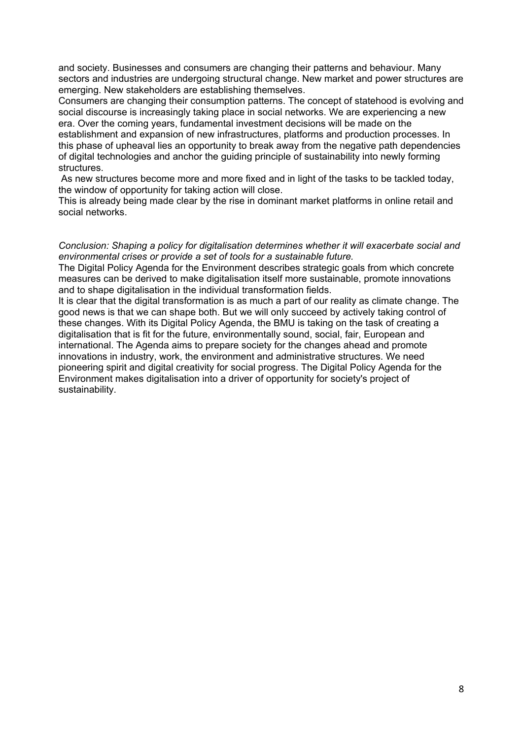and society. Businesses and consumers are changing their patterns and behaviour. Many sectors and industries are undergoing structural change. New market and power structures are emerging. New stakeholders are establishing themselves.

Consumers are changing their consumption patterns. The concept of statehood is evolving and social discourse is increasingly taking place in social networks. We are experiencing a new era. Over the coming years, fundamental investment decisions will be made on the

establishment and expansion of new infrastructures, platforms and production processes. In this phase of upheaval lies an opportunity to break away from the negative path dependencies of digital technologies and anchor the guiding principle of sustainability into newly forming structures.

 As new structures become more and more fixed and in light of the tasks to be tackled today, the window of opportunity for taking action will close.

This is already being made clear by the rise in dominant market platforms in online retail and social networks.

## *Conclusion: Shaping a policy for digitalisation determines whether it will exacerbate social and environmental crises or provide a set of tools for a sustainable future.*

The Digital Policy Agenda for the Environment describes strategic goals from which concrete measures can be derived to make digitalisation itself more sustainable, promote innovations and to shape digitalisation in the individual transformation fields.

It is clear that the digital transformation is as much a part of our reality as climate change. The good news is that we can shape both. But we will only succeed by actively taking control of these changes. With its Digital Policy Agenda, the BMU is taking on the task of creating a digitalisation that is fit for the future, environmentally sound, social, fair, European and international. The Agenda aims to prepare society for the changes ahead and promote innovations in industry, work, the environment and administrative structures. We need pioneering spirit and digital creativity for social progress. The Digital Policy Agenda for the Environment makes digitalisation into a driver of opportunity for society's project of sustainability.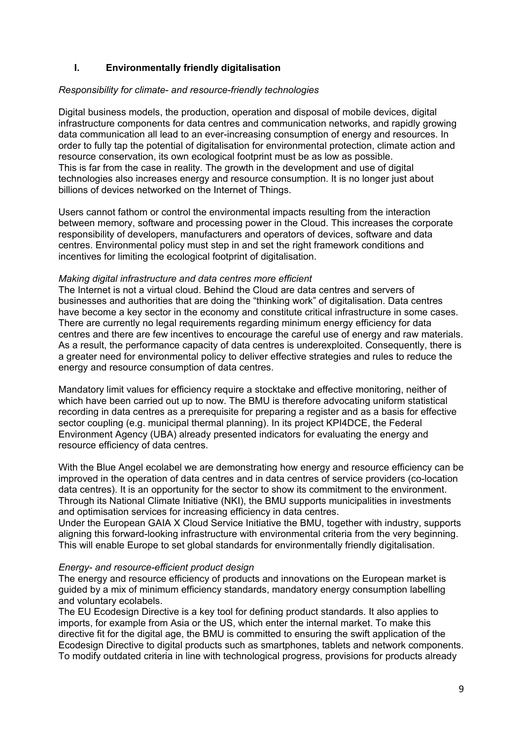# **I. Environmentally friendly digitalisation**

# *Responsibility for climate- and resource-friendly technologies*

Digital business models, the production, operation and disposal of mobile devices, digital infrastructure components for data centres and communication networks, and rapidly growing data communication all lead to an ever-increasing consumption of energy and resources. In order to fully tap the potential of digitalisation for environmental protection, climate action and resource conservation, its own ecological footprint must be as low as possible. This is far from the case in reality. The growth in the development and use of digital technologies also increases energy and resource consumption. It is no longer just about billions of devices networked on the Internet of Things.

Users cannot fathom or control the environmental impacts resulting from the interaction between memory, software and processing power in the Cloud. This increases the corporate responsibility of developers, manufacturers and operators of devices, software and data centres. Environmental policy must step in and set the right framework conditions and incentives for limiting the ecological footprint of digitalisation.

# *Making digital infrastructure and data centres more efficient*

The Internet is not a virtual cloud. Behind the Cloud are data centres and servers of businesses and authorities that are doing the "thinking work" of digitalisation. Data centres have become a key sector in the economy and constitute critical infrastructure in some cases. There are currently no legal requirements regarding minimum energy efficiency for data centres and there are few incentives to encourage the careful use of energy and raw materials. As a result, the performance capacity of data centres is underexploited. Consequently, there is a greater need for environmental policy to deliver effective strategies and rules to reduce the energy and resource consumption of data centres.

Mandatory limit values for efficiency require a stocktake and effective monitoring, neither of which have been carried out up to now. The BMU is therefore advocating uniform statistical recording in data centres as a prerequisite for preparing a register and as a basis for effective sector coupling (e.g. municipal thermal planning). In its project KPI4DCE, the Federal Environment Agency (UBA) already presented indicators for evaluating the energy and resource efficiency of data centres.

With the Blue Angel ecolabel we are demonstrating how energy and resource efficiency can be improved in the operation of data centres and in data centres of service providers (co-location data centres). It is an opportunity for the sector to show its commitment to the environment. Through its National Climate Initiative (NKI), the BMU supports municipalities in investments and optimisation services for increasing efficiency in data centres.

Under the European GAIA X Cloud Service Initiative the BMU, together with industry, supports aligning this forward-looking infrastructure with environmental criteria from the very beginning. This will enable Europe to set global standards for environmentally friendly digitalisation.

## *Energy- and resource-efficient product design*

The energy and resource efficiency of products and innovations on the European market is guided by a mix of minimum efficiency standards, mandatory energy consumption labelling and voluntary ecolabels.

The EU Ecodesign Directive is a key tool for defining product standards. It also applies to imports, for example from Asia or the US, which enter the internal market. To make this directive fit for the digital age, the BMU is committed to ensuring the swift application of the Ecodesign Directive to digital products such as smartphones, tablets and network components. To modify outdated criteria in line with technological progress, provisions for products already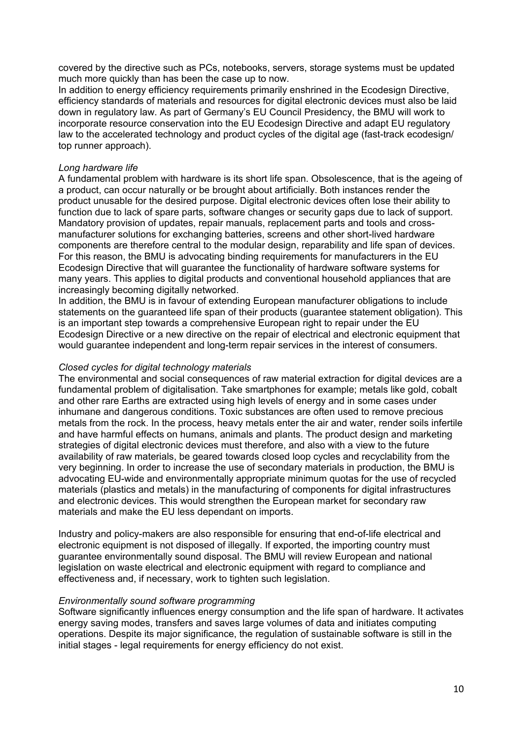covered by the directive such as PCs, notebooks, servers, storage systems must be updated much more quickly than has been the case up to now.

In addition to energy efficiency requirements primarily enshrined in the Ecodesign Directive, efficiency standards of materials and resources for digital electronic devices must also be laid down in regulatory law. As part of Germany's EU Council Presidency, the BMU will work to incorporate resource conservation into the EU Ecodesign Directive and adapt EU regulatory law to the accelerated technology and product cycles of the digital age (fast-track ecodesign/ top runner approach).

# *Long hardware life*

A fundamental problem with hardware is its short life span. Obsolescence, that is the ageing of a product, can occur naturally or be brought about artificially. Both instances render the product unusable for the desired purpose. Digital electronic devices often lose their ability to function due to lack of spare parts, software changes or security gaps due to lack of support. Mandatory provision of updates, repair manuals, replacement parts and tools and crossmanufacturer solutions for exchanging batteries, screens and other short-lived hardware components are therefore central to the modular design, reparability and life span of devices. For this reason, the BMU is advocating binding requirements for manufacturers in the EU Ecodesign Directive that will guarantee the functionality of hardware software systems for many years. This applies to digital products and conventional household appliances that are increasingly becoming digitally networked.

In addition, the BMU is in favour of extending European manufacturer obligations to include statements on the guaranteed life span of their products (guarantee statement obligation). This is an important step towards a comprehensive European right to repair under the EU Ecodesign Directive or a new directive on the repair of electrical and electronic equipment that would guarantee independent and long-term repair services in the interest of consumers.

# *Closed cycles for digital technology materials*

The environmental and social consequences of raw material extraction for digital devices are a fundamental problem of digitalisation. Take smartphones for example; metals like gold, cobalt and other rare Earths are extracted using high levels of energy and in some cases under inhumane and dangerous conditions. Toxic substances are often used to remove precious metals from the rock. In the process, heavy metals enter the air and water, render soils infertile and have harmful effects on humans, animals and plants. The product design and marketing strategies of digital electronic devices must therefore, and also with a view to the future availability of raw materials, be geared towards closed loop cycles and recyclability from the very beginning. In order to increase the use of secondary materials in production, the BMU is advocating EU-wide and environmentally appropriate minimum quotas for the use of recycled materials (plastics and metals) in the manufacturing of components for digital infrastructures and electronic devices. This would strengthen the European market for secondary raw materials and make the EU less dependant on imports.

Industry and policy-makers are also responsible for ensuring that end-of-life electrical and electronic equipment is not disposed of illegally. If exported, the importing country must guarantee environmentally sound disposal. The BMU will review European and national legislation on waste electrical and electronic equipment with regard to compliance and effectiveness and, if necessary, work to tighten such legislation.

## *Environmentally sound software programming*

Software significantly influences energy consumption and the life span of hardware. It activates energy saving modes, transfers and saves large volumes of data and initiates computing operations. Despite its major significance, the regulation of sustainable software is still in the initial stages - legal requirements for energy efficiency do not exist.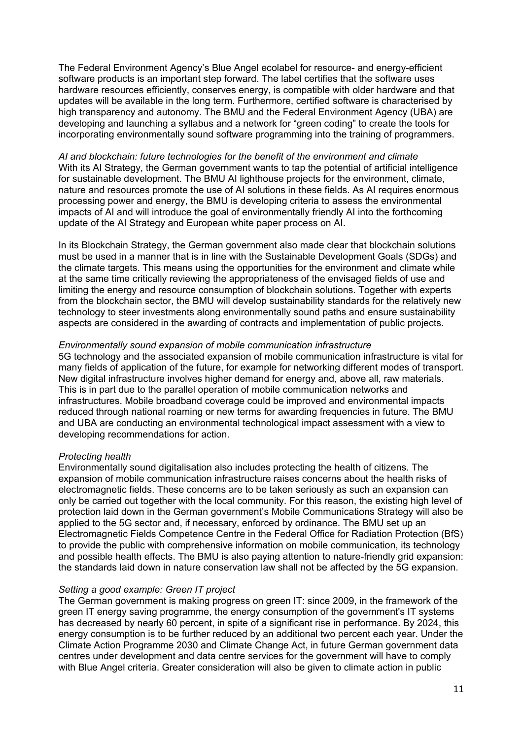The Federal Environment Agency's Blue Angel ecolabel for resource- and energy-efficient software products is an important step forward. The label certifies that the software uses hardware resources efficiently, conserves energy, is compatible with older hardware and that updates will be available in the long term. Furthermore, certified software is characterised by high transparency and autonomy. The BMU and the Federal Environment Agency (UBA) are developing and launching a syllabus and a network for "green coding" to create the tools for incorporating environmentally sound software programming into the training of programmers.

*AI and blockchain: future technologies for the benefit of the environment and climate*  With its AI Strategy, the German government wants to tap the potential of artificial intelligence for sustainable development. The BMU AI lighthouse projects for the environment, climate, nature and resources promote the use of AI solutions in these fields. As AI requires enormous processing power and energy, the BMU is developing criteria to assess the environmental impacts of AI and will introduce the goal of environmentally friendly AI into the forthcoming update of the AI Strategy and European white paper process on AI.

In its Blockchain Strategy, the German government also made clear that blockchain solutions must be used in a manner that is in line with the Sustainable Development Goals (SDGs) and the climate targets. This means using the opportunities for the environment and climate while at the same time critically reviewing the appropriateness of the envisaged fields of use and limiting the energy and resource consumption of blockchain solutions. Together with experts from the blockchain sector, the BMU will develop sustainability standards for the relatively new technology to steer investments along environmentally sound paths and ensure sustainability aspects are considered in the awarding of contracts and implementation of public projects.

#### *Environmentally sound expansion of mobile communication infrastructure*

5G technology and the associated expansion of mobile communication infrastructure is vital for many fields of application of the future, for example for networking different modes of transport. New digital infrastructure involves higher demand for energy and, above all, raw materials. This is in part due to the parallel operation of mobile communication networks and infrastructures. Mobile broadband coverage could be improved and environmental impacts reduced through national roaming or new terms for awarding frequencies in future. The BMU and UBA are conducting an environmental technological impact assessment with a view to developing recommendations for action.

## *Protecting health*

Environmentally sound digitalisation also includes protecting the health of citizens. The expansion of mobile communication infrastructure raises concerns about the health risks of electromagnetic fields. These concerns are to be taken seriously as such an expansion can only be carried out together with the local community. For this reason, the existing high level of protection laid down in the German government's Mobile Communications Strategy will also be applied to the 5G sector and, if necessary, enforced by ordinance. The BMU set up an Electromagnetic Fields Competence Centre in the Federal Office for Radiation Protection (BfS) to provide the public with comprehensive information on mobile communication, its technology and possible health effects. The BMU is also paying attention to nature-friendly grid expansion: the standards laid down in nature conservation law shall not be affected by the 5G expansion.

## *Setting a good example: Green IT project*

The German government is making progress on green IT: since 2009, in the framework of the green IT energy saving programme, the energy consumption of the government's IT systems has decreased by nearly 60 percent, in spite of a significant rise in performance. By 2024, this energy consumption is to be further reduced by an additional two percent each year. Under the Climate Action Programme 2030 and Climate Change Act, in future German government data centres under development and data centre services for the government will have to comply with Blue Angel criteria. Greater consideration will also be given to climate action in public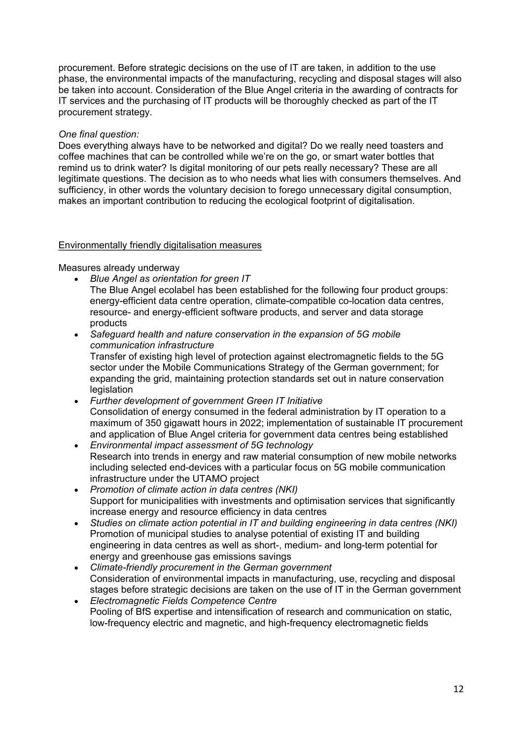procurement. Before strategic decisions on the use of IT are taken, in addition to the use phase, the environmental impacts of the manufacturing, recycling and disposal stages will also be taken into account. Consideration of the Blue Angel criteria in the awarding of contracts for IT services and the purchasing of IT products will be thoroughly checked as part of the IT procurement strategy.

# *One final question:*

Does everything always have to be networked and digital? Do we really need toasters and coffee machines that can be controlled while we're on the go, or smart water bottles that remind us to drink water? Is digital monitoring of our pets really necessary? These are all legitimate questions. The decision as to who needs what lies with consumers themselves. And sufficiency, in other words the voluntary decision to forego unnecessary digital consumption, makes an important contribution to reducing the ecological footprint of digitalisation.

# Environmentally friendly digitalisation measures

Measures already underway

- *Blue Angel as orientation for green IT* The Blue Angel ecolabel has been established for the following four product groups: energy-efficient data centre operation, climate-compatible co-location data centres, resource- and energy-efficient software products, and server and data storage products
- *Safeguard health and nature conservation in the expansion of 5G mobile communication infrastructure* Transfer of existing high level of protection against electromagnetic fields to the 5G sector under the Mobile Communications Strategy of the German government; for expanding the grid, maintaining protection standards set out in nature conservation **legislation**
- *Further development of government Green IT Initiative* Consolidation of energy consumed in the federal administration by IT operation to a maximum of 350 gigawatt hours in 2022; implementation of sustainable IT procurement and application of Blue Angel criteria for government data centres being established
- *Environmental impact assessment of 5G technology* Research into trends in energy and raw material consumption of new mobile networks including selected end-devices with a particular focus on 5G mobile communication infrastructure under the UTAMO project
- *Promotion of climate action in data centres (NKI)* Support for municipalities with investments and optimisation services that significantly increase energy and resource efficiency in data centres
- *Studies on climate action potential in IT and building engineering in data centres (NKI)* Promotion of municipal studies to analyse potential of existing IT and building engineering in data centres as well as short-, medium- and long-term potential for energy and greenhouse gas emissions savings
- *Climate-friendly procurement in the German government* Consideration of environmental impacts in manufacturing, use, recycling and disposal stages before strategic decisions are taken on the use of IT in the German government
- *Electromagnetic Fields Competence Centre* Pooling of BfS expertise and intensification of research and communication on static, low-frequency electric and magnetic, and high-frequency electromagnetic fields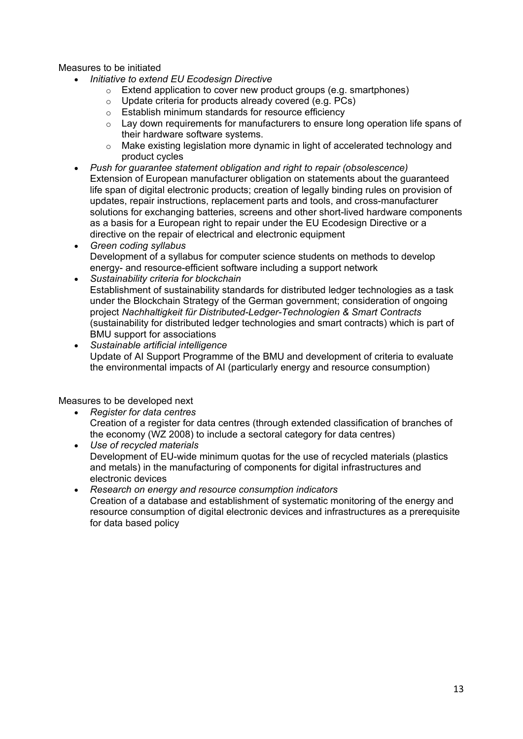Measures to be initiated

- *Initiative to extend EU Ecodesign Directive* 
	- o Extend application to cover new product groups (e.g. smartphones)
	- o Update criteria for products already covered (e.g. PCs)
	- o Establish minimum standards for resource efficiency
	- o Lay down requirements for manufacturers to ensure long operation life spans of their hardware software systems.
	- $\circ$  Make existing legislation more dynamic in light of accelerated technology and product cycles
- *Push for guarantee statement obligation and right to repair (obsolescence)* Extension of European manufacturer obligation on statements about the guaranteed life span of digital electronic products; creation of legally binding rules on provision of updates, repair instructions, replacement parts and tools, and cross-manufacturer solutions for exchanging batteries, screens and other short-lived hardware components as a basis for a European right to repair under the EU Ecodesign Directive or a directive on the repair of electrical and electronic equipment
- *Green coding syllabus* Development of a syllabus for computer science students on methods to develop energy- and resource-efficient software including a support network
- *Sustainability criteria for blockchain* Establishment of sustainability standards for distributed ledger technologies as a task under the Blockchain Strategy of the German government; consideration of ongoing project *Nachhaltigkeit für Distributed-Ledger-Technologien & Smart Contracts* (sustainability for distributed ledger technologies and smart contracts) which is part of BMU support for associations
- *Sustainable artificial intelligence* Update of AI Support Programme of the BMU and development of criteria to evaluate the environmental impacts of AI (particularly energy and resource consumption)

Measures to be developed next

- *Register for data centres* Creation of a register for data centres (through extended classification of branches of the economy (WZ 2008) to include a sectoral category for data centres)
- *Use of recycled materials* Development of EU-wide minimum quotas for the use of recycled materials (plastics and metals) in the manufacturing of components for digital infrastructures and electronic devices
- *Research on energy and resource consumption indicators* Creation of a database and establishment of systematic monitoring of the energy and resource consumption of digital electronic devices and infrastructures as a prerequisite for data based policy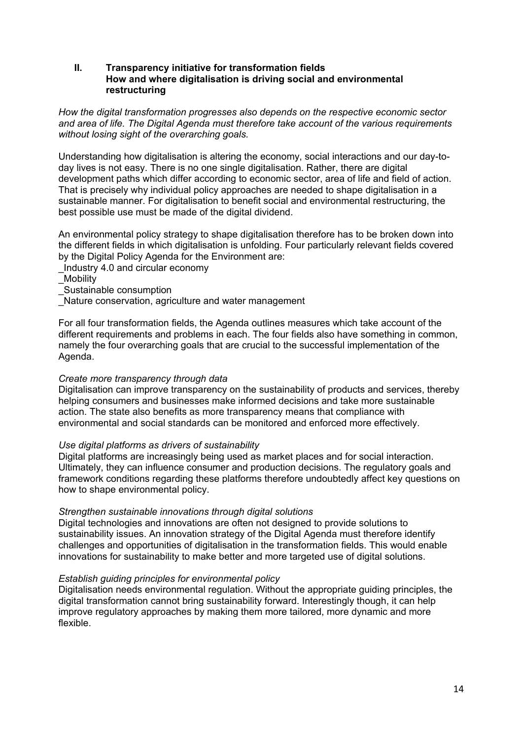# **II. Transparency initiative for transformation fields How and where digitalisation is driving social and environmental restructuring**

*How the digital transformation progresses also depends on the respective economic sector and area of life. The Digital Agenda must therefore take account of the various requirements without losing sight of the overarching goals.* 

Understanding how digitalisation is altering the economy, social interactions and our day-today lives is not easy. There is no one single digitalisation. Rather, there are digital development paths which differ according to economic sector, area of life and field of action. That is precisely why individual policy approaches are needed to shape digitalisation in a sustainable manner. For digitalisation to benefit social and environmental restructuring, the best possible use must be made of the digital dividend.

An environmental policy strategy to shape digitalisation therefore has to be broken down into the different fields in which digitalisation is unfolding. Four particularly relevant fields covered by the Digital Policy Agenda for the Environment are:

- \_Industry 4.0 and circular economy
- **Mobility**
- \_Sustainable consumption
- Nature conservation, agriculture and water management

For all four transformation fields, the Agenda outlines measures which take account of the different requirements and problems in each. The four fields also have something in common, namely the four overarching goals that are crucial to the successful implementation of the Agenda.

## *Create more transparency through data*

Digitalisation can improve transparency on the sustainability of products and services, thereby helping consumers and businesses make informed decisions and take more sustainable action. The state also benefits as more transparency means that compliance with environmental and social standards can be monitored and enforced more effectively.

## *Use digital platforms as drivers of sustainability*

Digital platforms are increasingly being used as market places and for social interaction. Ultimately, they can influence consumer and production decisions. The regulatory goals and framework conditions regarding these platforms therefore undoubtedly affect key questions on how to shape environmental policy.

## *Strengthen sustainable innovations through digital solutions*

Digital technologies and innovations are often not designed to provide solutions to sustainability issues. An innovation strategy of the Digital Agenda must therefore identify challenges and opportunities of digitalisation in the transformation fields. This would enable innovations for sustainability to make better and more targeted use of digital solutions.

## *Establish guiding principles for environmental policy*

Digitalisation needs environmental regulation. Without the appropriate guiding principles, the digital transformation cannot bring sustainability forward. Interestingly though, it can help improve regulatory approaches by making them more tailored, more dynamic and more flexible.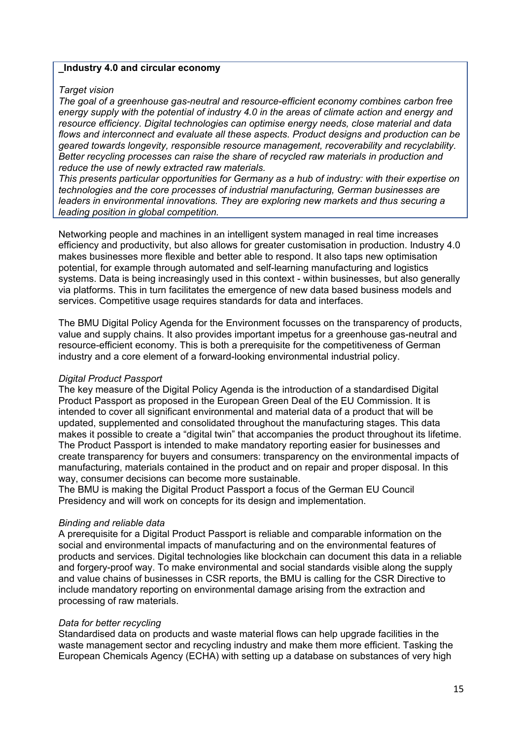# **\_Industry 4.0 and circular economy**

# *Target vision*

*The goal of a greenhouse gas-neutral and resource-efficient economy combines carbon free energy supply with the potential of industry 4.0 in the areas of climate action and energy and resource efficiency. Digital technologies can optimise energy needs, close material and data flows and interconnect and evaluate all these aspects. Product designs and production can be geared towards longevity, responsible resource management, recoverability and recyclability. Better recycling processes can raise the share of recycled raw materials in production and reduce the use of newly extracted raw materials.* 

*This presents particular opportunities for Germany as a hub of industry: with their expertise on technologies and the core processes of industrial manufacturing, German businesses are leaders in environmental innovations. They are exploring new markets and thus securing a leading position in global competition.* 

Networking people and machines in an intelligent system managed in real time increases efficiency and productivity, but also allows for greater customisation in production. Industry 4.0 makes businesses more flexible and better able to respond. It also taps new optimisation potential, for example through automated and self-learning manufacturing and logistics systems. Data is being increasingly used in this context - within businesses, but also generally via platforms. This in turn facilitates the emergence of new data based business models and services. Competitive usage requires standards for data and interfaces.

The BMU Digital Policy Agenda for the Environment focusses on the transparency of products, value and supply chains. It also provides important impetus for a greenhouse gas-neutral and resource-efficient economy. This is both a prerequisite for the competitiveness of German industry and a core element of a forward-looking environmental industrial policy.

## *Digital Product Passport*

The key measure of the Digital Policy Agenda is the introduction of a standardised Digital Product Passport as proposed in the European Green Deal of the EU Commission. It is intended to cover all significant environmental and material data of a product that will be updated, supplemented and consolidated throughout the manufacturing stages. This data makes it possible to create a "digital twin" that accompanies the product throughout its lifetime. The Product Passport is intended to make mandatory reporting easier for businesses and create transparency for buyers and consumers: transparency on the environmental impacts of manufacturing, materials contained in the product and on repair and proper disposal. In this way, consumer decisions can become more sustainable.

The BMU is making the Digital Product Passport a focus of the German EU Council Presidency and will work on concepts for its design and implementation.

# *Binding and reliable data*

A prerequisite for a Digital Product Passport is reliable and comparable information on the social and environmental impacts of manufacturing and on the environmental features of products and services. Digital technologies like blockchain can document this data in a reliable and forgery-proof way. To make environmental and social standards visible along the supply and value chains of businesses in CSR reports, the BMU is calling for the CSR Directive to include mandatory reporting on environmental damage arising from the extraction and processing of raw materials.

## *Data for better recycling*

Standardised data on products and waste material flows can help upgrade facilities in the waste management sector and recycling industry and make them more efficient. Tasking the European Chemicals Agency (ECHA) with setting up a database on substances of very high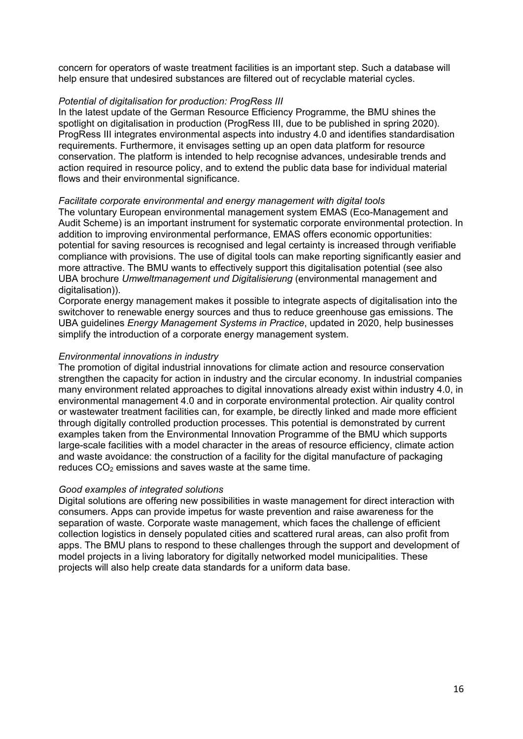concern for operators of waste treatment facilities is an important step. Such a database will help ensure that undesired substances are filtered out of recyclable material cycles.

# *Potential of digitalisation for production: ProgRess III*

In the latest update of the German Resource Efficiency Programme, the BMU shines the spotlight on digitalisation in production (ProgRess III, due to be published in spring 2020). ProgRess III integrates environmental aspects into industry 4.0 and identifies standardisation requirements. Furthermore, it envisages setting up an open data platform for resource conservation. The platform is intended to help recognise advances, undesirable trends and action required in resource policy, and to extend the public data base for individual material flows and their environmental significance.

# *Facilitate corporate environmental and energy management with digital tools*

The voluntary European environmental management system EMAS (Eco-Management and Audit Scheme) is an important instrument for systematic corporate environmental protection. In addition to improving environmental performance, EMAS offers economic opportunities: potential for saving resources is recognised and legal certainty is increased through verifiable compliance with provisions. The use of digital tools can make reporting significantly easier and more attractive. The BMU wants to effectively support this digitalisation potential (see also UBA brochure *Umweltmanagement und Digitalisierung* (environmental management and digitalisation)).

Corporate energy management makes it possible to integrate aspects of digitalisation into the switchover to renewable energy sources and thus to reduce greenhouse gas emissions. The UBA guidelines *Energy Management Systems in Practice*, updated in 2020, help businesses simplify the introduction of a corporate energy management system.

# *Environmental innovations in industry*

The promotion of digital industrial innovations for climate action and resource conservation strengthen the capacity for action in industry and the circular economy. In industrial companies many environment related approaches to digital innovations already exist within industry 4.0, in environmental management 4.0 and in corporate environmental protection. Air quality control or wastewater treatment facilities can, for example, be directly linked and made more efficient through digitally controlled production processes. This potential is demonstrated by current examples taken from the Environmental Innovation Programme of the BMU which supports large-scale facilities with a model character in the areas of resource efficiency, climate action and waste avoidance: the construction of a facility for the digital manufacture of packaging reduces  $CO<sub>2</sub>$  emissions and saves waste at the same time.

## *Good examples of integrated solutions*

Digital solutions are offering new possibilities in waste management for direct interaction with consumers. Apps can provide impetus for waste prevention and raise awareness for the separation of waste. Corporate waste management, which faces the challenge of efficient collection logistics in densely populated cities and scattered rural areas, can also profit from apps. The BMU plans to respond to these challenges through the support and development of model projects in a living laboratory for digitally networked model municipalities. These projects will also help create data standards for a uniform data base.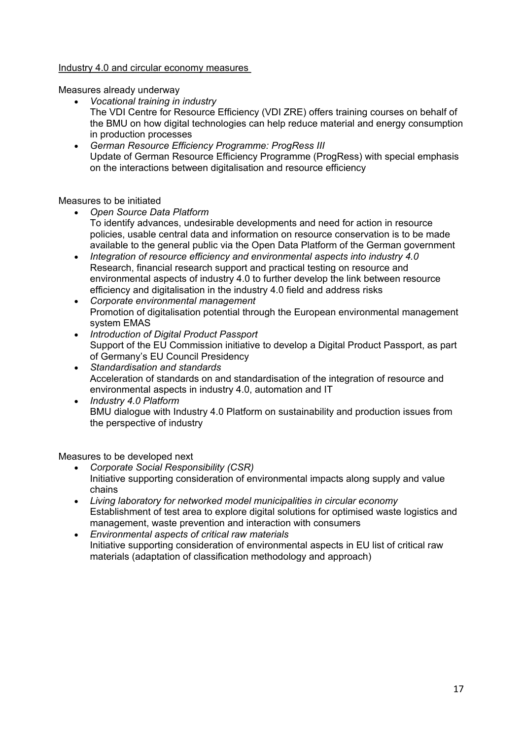# Industry 4.0 and circular economy measures

Measures already underway

- *Vocational training in industry* The VDI Centre for Resource Efficiency (VDI ZRE) offers training courses on behalf of the BMU on how digital technologies can help reduce material and energy consumption in production processes
- *German Resource Efficiency Programme: ProgRess III* Update of German Resource Efficiency Programme (ProgRess) with special emphasis on the interactions between digitalisation and resource efficiency

# Measures to be initiated

- *Open Source Data Platform* To identify advances, undesirable developments and need for action in resource policies, usable central data and information on resource conservation is to be made available to the general public via the Open Data Platform of the German government
- *Integration of resource efficiency and environmental aspects into industry 4.0* Research, financial research support and practical testing on resource and environmental aspects of industry 4.0 to further develop the link between resource efficiency and digitalisation in the industry 4.0 field and address risks
- *Corporate environmental management* Promotion of digitalisation potential through the European environmental management system EMAS
- *Introduction of Digital Product Passport* Support of the EU Commission initiative to develop a Digital Product Passport, as part of Germany's EU Council Presidency
- *Standardisation and standards* Acceleration of standards on and standardisation of the integration of resource and environmental aspects in industry 4.0, automation and IT
- *Industry 4.0 Platform* BMU dialogue with Industry 4.0 Platform on sustainability and production issues from the perspective of industry

Measures to be developed next

- *Corporate Social Responsibility (CSR)* Initiative supporting consideration of environmental impacts along supply and value chains
- *Living laboratory for networked model municipalities in circular economy* Establishment of test area to explore digital solutions for optimised waste logistics and management, waste prevention and interaction with consumers
- *Environmental aspects of critical raw materials* Initiative supporting consideration of environmental aspects in EU list of critical raw materials (adaptation of classification methodology and approach)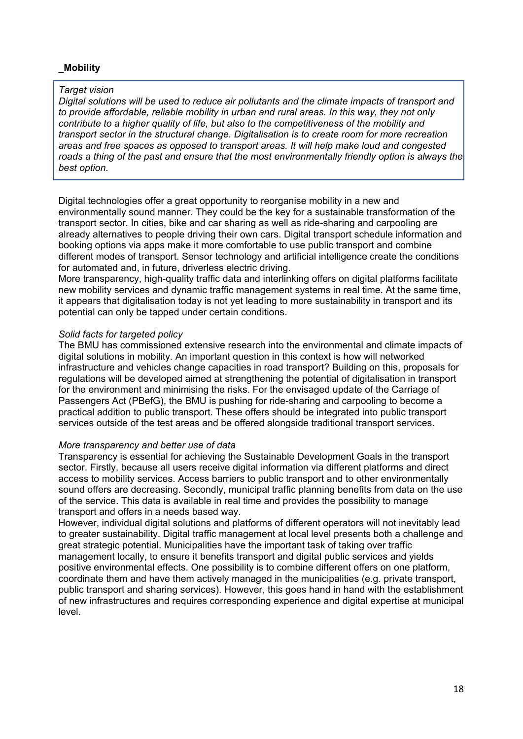# **\_Mobility**

# *Target vision*

*Digital solutions will be used to reduce air pollutants and the climate impacts of transport and to provide affordable, reliable mobility in urban and rural areas. In this way, they not only contribute to a higher quality of life, but also to the competitiveness of the mobility and transport sector in the structural change. Digitalisation is to create room for more recreation areas and free spaces as opposed to transport areas. It will help make loud and congested roads a thing of the past and ensure that the most environmentally friendly option is always the best option.* 

Digital technologies offer a great opportunity to reorganise mobility in a new and environmentally sound manner. They could be the key for a sustainable transformation of the transport sector. In cities, bike and car sharing as well as ride-sharing and carpooling are already alternatives to people driving their own cars. Digital transport schedule information and booking options via apps make it more comfortable to use public transport and combine different modes of transport. Sensor technology and artificial intelligence create the conditions for automated and, in future, driverless electric driving.

More transparency, high-quality traffic data and interlinking offers on digital platforms facilitate new mobility services and dynamic traffic management systems in real time. At the same time, it appears that digitalisation today is not yet leading to more sustainability in transport and its potential can only be tapped under certain conditions.

# *Solid facts for targeted policy*

The BMU has commissioned extensive research into the environmental and climate impacts of digital solutions in mobility. An important question in this context is how will networked infrastructure and vehicles change capacities in road transport? Building on this, proposals for regulations will be developed aimed at strengthening the potential of digitalisation in transport for the environment and minimising the risks. For the envisaged update of the Carriage of Passengers Act (PBefG), the BMU is pushing for ride-sharing and carpooling to become a practical addition to public transport. These offers should be integrated into public transport services outside of the test areas and be offered alongside traditional transport services.

# *More transparency and better use of data*

Transparency is essential for achieving the Sustainable Development Goals in the transport sector. Firstly, because all users receive digital information via different platforms and direct access to mobility services. Access barriers to public transport and to other environmentally sound offers are decreasing. Secondly, municipal traffic planning benefits from data on the use of the service. This data is available in real time and provides the possibility to manage transport and offers in a needs based way.

However, individual digital solutions and platforms of different operators will not inevitably lead to greater sustainability. Digital traffic management at local level presents both a challenge and great strategic potential. Municipalities have the important task of taking over traffic management locally, to ensure it benefits transport and digital public services and yields positive environmental effects. One possibility is to combine different offers on one platform, coordinate them and have them actively managed in the municipalities (e.g. private transport, public transport and sharing services). However, this goes hand in hand with the establishment of new infrastructures and requires corresponding experience and digital expertise at municipal level.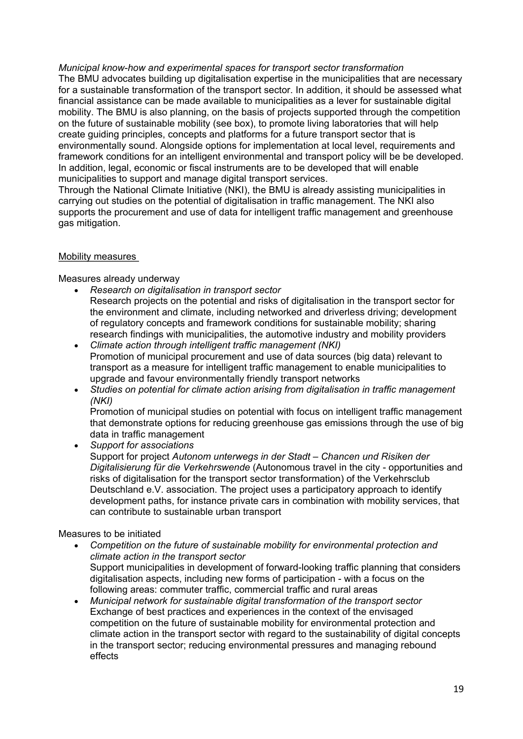*Municipal know-how and experimental spaces for transport sector transformation* 

The BMU advocates building up digitalisation expertise in the municipalities that are necessary for a sustainable transformation of the transport sector. In addition, it should be assessed what financial assistance can be made available to municipalities as a lever for sustainable digital mobility. The BMU is also planning, on the basis of projects supported through the competition on the future of sustainable mobility (see box), to promote living laboratories that will help create guiding principles, concepts and platforms for a future transport sector that is environmentally sound. Alongside options for implementation at local level, requirements and framework conditions for an intelligent environmental and transport policy will be be developed. In addition, legal, economic or fiscal instruments are to be developed that will enable municipalities to support and manage digital transport services.

Through the National Climate Initiative (NKI), the BMU is already assisting municipalities in carrying out studies on the potential of digitalisation in traffic management. The NKI also supports the procurement and use of data for intelligent traffic management and greenhouse gas mitigation.

# Mobility measures

Measures already underway

- *Research on digitalisation in transport sector* Research projects on the potential and risks of digitalisation in the transport sector for the environment and climate, including networked and driverless driving; development of regulatory concepts and framework conditions for sustainable mobility; sharing research findings with municipalities, the automotive industry and mobility providers
- *Climate action through intelligent traffic management (NKI)* Promotion of municipal procurement and use of data sources (big data) relevant to transport as a measure for intelligent traffic management to enable municipalities to upgrade and favour environmentally friendly transport networks
- *Studies on potential for climate action arising from digitalisation in traffic management (NKI)*

Promotion of municipal studies on potential with focus on intelligent traffic management that demonstrate options for reducing greenhouse gas emissions through the use of big data in traffic management

• *Support for associations*

Support for project *Autonom unterwegs in der Stadt – Chancen und Risiken der Digitalisierung für die Verkehrswende* (Autonomous travel in the city - opportunities and risks of digitalisation for the transport sector transformation) of the Verkehrsclub Deutschland e.V. association. The project uses a participatory approach to identify development paths, for instance private cars in combination with mobility services, that can contribute to sustainable urban transport

# Measures to be initiated

- *Competition on the future of sustainable mobility for environmental protection and climate action in the transport sector* Support municipalities in development of forward-looking traffic planning that considers digitalisation aspects, including new forms of participation - with a focus on the following areas: commuter traffic, commercial traffic and rural areas
- *Municipal network for sustainable digital transformation of the transport sector* Exchange of best practices and experiences in the context of the envisaged competition on the future of sustainable mobility for environmental protection and climate action in the transport sector with regard to the sustainability of digital concepts in the transport sector; reducing environmental pressures and managing rebound effects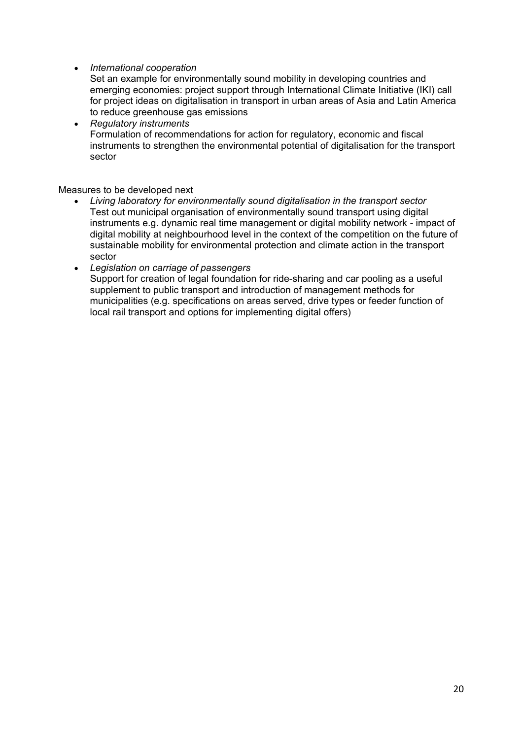# • *International cooperation*

Set an example for environmentally sound mobility in developing countries and emerging economies: project support through International Climate Initiative (IKI) call for project ideas on digitalisation in transport in urban areas of Asia and Latin America to reduce greenhouse gas emissions

• *Regulatory instruments* Formulation of recommendations for action for regulatory, economic and fiscal instruments to strengthen the environmental potential of digitalisation for the transport sector

# Measures to be developed next

- *Living laboratory for environmentally sound digitalisation in the transport sector* Test out municipal organisation of environmentally sound transport using digital instruments e.g. dynamic real time management or digital mobility network - impact of digital mobility at neighbourhood level in the context of the competition on the future of sustainable mobility for environmental protection and climate action in the transport sector
- *Legislation on carriage of passengers* Support for creation of legal foundation for ride-sharing and car pooling as a useful supplement to public transport and introduction of management methods for municipalities (e.g. specifications on areas served, drive types or feeder function of local rail transport and options for implementing digital offers)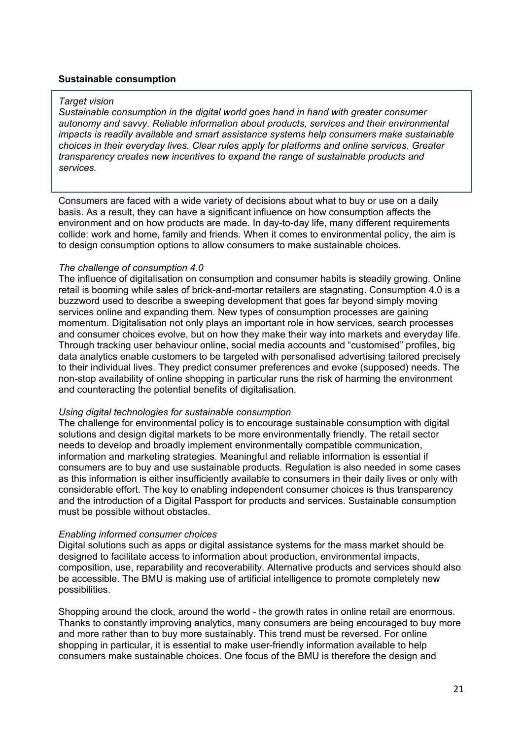# **Sustainable consumption**

### *Target vision*

*Sustainable consumption in the digital world goes hand in hand with greater consumer autonomy and savvy. Reliable information about products, services and their environmental impacts is readily available and smart assistance systems help consumers make sustainable choices in their everyday lives. Clear rules apply for platforms and online services. Greater transparency creates new incentives to expand the range of sustainable products and services.* 

Consumers are faced with a wide variety of decisions about what to buy or use on a daily basis. As a result, they can have a significant influence on how consumption affects the environment and on how products are made. In day-to-day life, many different requirements collide: work and home, family and friends. When it comes to environmental policy, the aim is to design consumption options to allow consumers to make sustainable choices.

## *The challenge of consumption 4.0*

The influence of digitalisation on consumption and consumer habits is steadily growing. Online retail is booming while sales of brick-and-mortar retailers are stagnating. Consumption 4.0 is a buzzword used to describe a sweeping development that goes far beyond simply moving services online and expanding them. New types of consumption processes are gaining momentum. Digitalisation not only plays an important role in how services, search processes and consumer choices evolve, but on how they make their way into markets and everyday life. Through tracking user behaviour online, social media accounts and "customised" profiles, big data analytics enable customers to be targeted with personalised advertising tailored precisely to their individual lives. They predict consumer preferences and evoke (supposed) needs. The non-stop availability of online shopping in particular runs the risk of harming the environment and counteracting the potential benefits of digitalisation.

## *Using digital technologies for sustainable consumption*

The challenge for environmental policy is to encourage sustainable consumption with digital solutions and design digital markets to be more environmentally friendly. The retail sector needs to develop and broadly implement environmentally compatible communication, information and marketing strategies. Meaningful and reliable information is essential if consumers are to buy and use sustainable products. Regulation is also needed in some cases as this information is either insufficiently available to consumers in their daily lives or only with considerable effort. The key to enabling independent consumer choices is thus transparency and the introduction of a Digital Passport for products and services. Sustainable consumption must be possible without obstacles.

# *Enabling informed consumer choices*

Digital solutions such as apps or digital assistance systems for the mass market should be designed to facilitate access to information about production, environmental impacts, composition, use, reparability and recoverability. Alternative products and services should also be accessible. The BMU is making use of artificial intelligence to promote completely new possibilities.

Shopping around the clock, around the world - the growth rates in online retail are enormous. Thanks to constantly improving analytics, many consumers are being encouraged to buy more and more rather than to buy more sustainably. This trend must be reversed. For online shopping in particular, it is essential to make user-friendly information available to help consumers make sustainable choices. One focus of the BMU is therefore the design and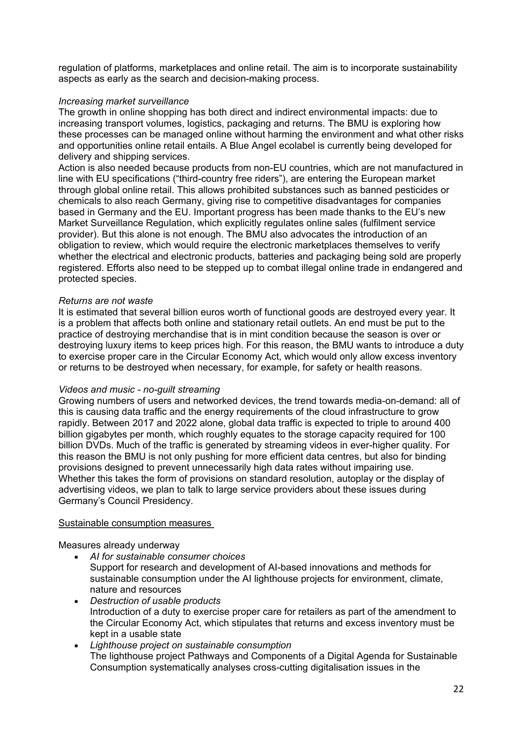regulation of platforms, marketplaces and online retail. The aim is to incorporate sustainability aspects as early as the search and decision-making process.

# *Increasing market surveillance*

The growth in online shopping has both direct and indirect environmental impacts: due to increasing transport volumes, logistics, packaging and returns. The BMU is exploring how these processes can be managed online without harming the environment and what other risks and opportunities online retail entails. A Blue Angel ecolabel is currently being developed for delivery and shipping services.

Action is also needed because products from non-EU countries, which are not manufactured in line with EU specifications ("third-country free riders"), are entering the European market through global online retail. This allows prohibited substances such as banned pesticides or chemicals to also reach Germany, giving rise to competitive disadvantages for companies based in Germany and the EU. Important progress has been made thanks to the EU's new Market Surveillance Regulation, which explicitly regulates online sales (fulfilment service provider). But this alone is not enough. The BMU also advocates the introduction of an obligation to review, which would require the electronic marketplaces themselves to verify whether the electrical and electronic products, batteries and packaging being sold are properly registered. Efforts also need to be stepped up to combat illegal online trade in endangered and protected species.

# *Returns are not waste*

It is estimated that several billion euros worth of functional goods are destroyed every year. It is a problem that affects both online and stationary retail outlets. An end must be put to the practice of destroying merchandise that is in mint condition because the season is over or destroying luxury items to keep prices high. For this reason, the BMU wants to introduce a duty to exercise proper care in the Circular Economy Act, which would only allow excess inventory or returns to be destroyed when necessary, for example, for safety or health reasons.

# *Videos and music - no-guilt streaming*

Growing numbers of users and networked devices, the trend towards media-on-demand: all of this is causing data traffic and the energy requirements of the cloud infrastructure to grow rapidly. Between 2017 and 2022 alone, global data traffic is expected to triple to around 400 billion gigabytes per month, which roughly equates to the storage capacity required for 100 billion DVDs. Much of the traffic is generated by streaming videos in ever-higher quality. For this reason the BMU is not only pushing for more efficient data centres, but also for binding provisions designed to prevent unnecessarily high data rates without impairing use. Whether this takes the form of provisions on standard resolution, autoplay or the display of advertising videos, we plan to talk to large service providers about these issues during Germany's Council Presidency.

# Sustainable consumption measures

Measures already underway

- *AI for sustainable consumer choices* Support for research and development of AI-based innovations and methods for sustainable consumption under the AI lighthouse projects for environment, climate, nature and resources
- *Destruction of usable products* Introduction of a duty to exercise proper care for retailers as part of the amendment to the Circular Economy Act, which stipulates that returns and excess inventory must be kept in a usable state
- *Lighthouse project on sustainable consumption* The lighthouse project Pathways and Components of a Digital Agenda for Sustainable Consumption systematically analyses cross-cutting digitalisation issues in the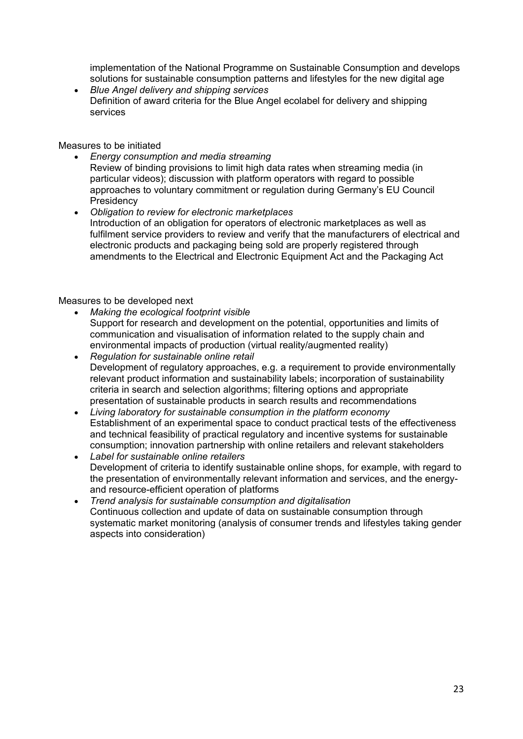implementation of the National Programme on Sustainable Consumption and develops solutions for sustainable consumption patterns and lifestyles for the new digital age

• *Blue Angel delivery and shipping services*  Definition of award criteria for the Blue Angel ecolabel for delivery and shipping services

Measures to be initiated

- *Energy consumption and media streaming* Review of binding provisions to limit high data rates when streaming media (in particular videos); discussion with platform operators with regard to possible approaches to voluntary commitment or regulation during Germany's EU Council **Presidency**
- *Obligation to review for electronic marketplaces* Introduction of an obligation for operators of electronic marketplaces as well as fulfilment service providers to review and verify that the manufacturers of electrical and electronic products and packaging being sold are properly registered through amendments to the Electrical and Electronic Equipment Act and the Packaging Act

# Measures to be developed next

- *Making the ecological footprint visible* Support for research and development on the potential, opportunities and limits of communication and visualisation of information related to the supply chain and environmental impacts of production (virtual reality/augmented reality)
- *Regulation for sustainable online retail* Development of regulatory approaches, e.g. a requirement to provide environmentally relevant product information and sustainability labels; incorporation of sustainability criteria in search and selection algorithms; filtering options and appropriate presentation of sustainable products in search results and recommendations
- *Living laboratory for sustainable consumption in the platform economy* Establishment of an experimental space to conduct practical tests of the effectiveness and technical feasibility of practical regulatory and incentive systems for sustainable consumption; innovation partnership with online retailers and relevant stakeholders
- *Label for sustainable online retailers* Development of criteria to identify sustainable online shops, for example, with regard to the presentation of environmentally relevant information and services, and the energyand resource-efficient operation of platforms
- *Trend analysis for sustainable consumption and digitalisation* Continuous collection and update of data on sustainable consumption through systematic market monitoring (analysis of consumer trends and lifestyles taking gender aspects into consideration)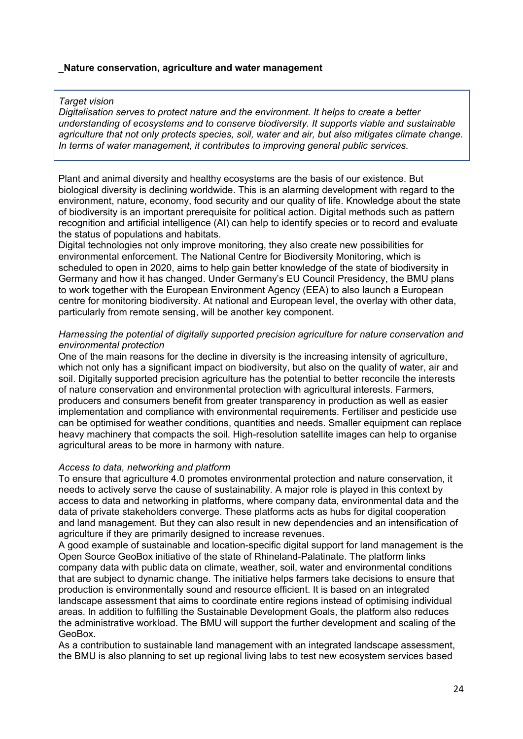# **\_Nature conservation, agriculture and water management**

# *Target vision*

*Digitalisation serves to protect nature and the environment. It helps to create a better understanding of ecosystems and to conserve biodiversity. It supports viable and sustainable agriculture that not only protects species, soil, water and air, but also mitigates climate change. In terms of water management, it contributes to improving general public services.* 

Plant and animal diversity and healthy ecosystems are the basis of our existence. But biological diversity is declining worldwide. This is an alarming development with regard to the environment, nature, economy, food security and our quality of life. Knowledge about the state of biodiversity is an important prerequisite for political action. Digital methods such as pattern recognition and artificial intelligence (AI) can help to identify species or to record and evaluate the status of populations and habitats.

Digital technologies not only improve monitoring, they also create new possibilities for environmental enforcement. The National Centre for Biodiversity Monitoring, which is scheduled to open in 2020, aims to help gain better knowledge of the state of biodiversity in Germany and how it has changed. Under Germany's EU Council Presidency, the BMU plans to work together with the European Environment Agency (EEA) to also launch a European centre for monitoring biodiversity. At national and European level, the overlay with other data, particularly from remote sensing, will be another key component.

# *Harnessing the potential of digitally supported precision agriculture for nature conservation and environmental protection*

One of the main reasons for the decline in diversity is the increasing intensity of agriculture, which not only has a significant impact on biodiversity, but also on the quality of water, air and soil. Digitally supported precision agriculture has the potential to better reconcile the interests of nature conservation and environmental protection with agricultural interests. Farmers, producers and consumers benefit from greater transparency in production as well as easier implementation and compliance with environmental requirements. Fertiliser and pesticide use can be optimised for weather conditions, quantities and needs. Smaller equipment can replace heavy machinery that compacts the soil. High-resolution satellite images can help to organise agricultural areas to be more in harmony with nature.

# *Access to data, networking and platform*

To ensure that agriculture 4.0 promotes environmental protection and nature conservation, it needs to actively serve the cause of sustainability. A major role is played in this context by access to data and networking in platforms, where company data, environmental data and the data of private stakeholders converge. These platforms acts as hubs for digital cooperation and land management. But they can also result in new dependencies and an intensification of agriculture if they are primarily designed to increase revenues.

A good example of sustainable and location-specific digital support for land management is the Open Source GeoBox initiative of the state of Rhineland-Palatinate. The platform links company data with public data on climate, weather, soil, water and environmental conditions that are subject to dynamic change. The initiative helps farmers take decisions to ensure that production is environmentally sound and resource efficient. It is based on an integrated landscape assessment that aims to coordinate entire regions instead of optimising individual areas. In addition to fulfilling the Sustainable Development Goals, the platform also reduces the administrative workload. The BMU will support the further development and scaling of the GeoBox.

As a contribution to sustainable land management with an integrated landscape assessment, the BMU is also planning to set up regional living labs to test new ecosystem services based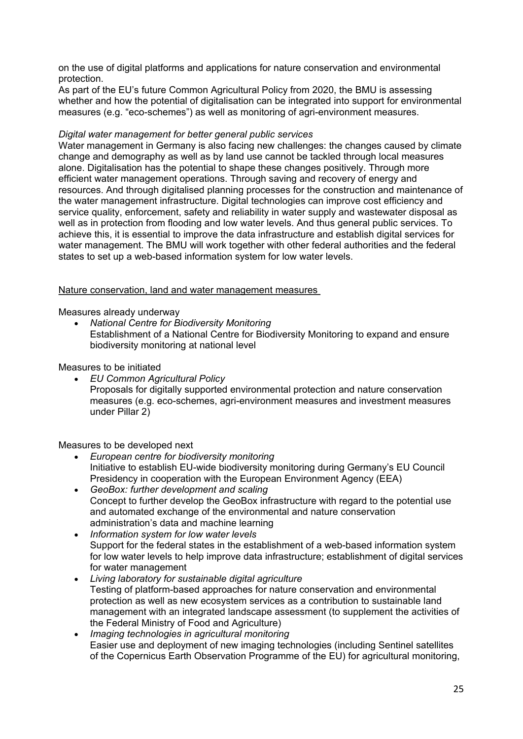on the use of digital platforms and applications for nature conservation and environmental protection.

As part of the EU's future Common Agricultural Policy from 2020, the BMU is assessing whether and how the potential of digitalisation can be integrated into support for environmental measures (e.g. "eco-schemes") as well as monitoring of agri-environment measures.

# *Digital water management for better general public services*

Water management in Germany is also facing new challenges: the changes caused by climate change and demography as well as by land use cannot be tackled through local measures alone. Digitalisation has the potential to shape these changes positively. Through more efficient water management operations. Through saving and recovery of energy and resources. And through digitalised planning processes for the construction and maintenance of the water management infrastructure. Digital technologies can improve cost efficiency and service quality, enforcement, safety and reliability in water supply and wastewater disposal as well as in protection from flooding and low water levels. And thus general public services. To achieve this, it is essential to improve the data infrastructure and establish digital services for water management. The BMU will work together with other federal authorities and the federal states to set up a web-based information system for low water levels.

# Nature conservation, land and water management measures

Measures already underway

• *National Centre for Biodiversity Monitoring* Establishment of a National Centre for Biodiversity Monitoring to expand and ensure biodiversity monitoring at national level

Measures to be initiated

• *EU Common Agricultural Policy* Proposals for digitally supported environmental protection and nature conservation measures (e.g. eco-schemes, agri-environment measures and investment measures under Pillar 2)

Measures to be developed next

- *European centre for biodiversity monitoring* Initiative to establish EU-wide biodiversity monitoring during Germany's EU Council Presidency in cooperation with the European Environment Agency (EEA)
- *GeoBox: further development and scaling* Concept to further develop the GeoBox infrastructure with regard to the potential use and automated exchange of the environmental and nature conservation administration's data and machine learning
- *Information system for low water levels* Support for the federal states in the establishment of a web-based information system for low water levels to help improve data infrastructure; establishment of digital services for water management
- *Living laboratory for sustainable digital agriculture*  Testing of platform-based approaches for nature conservation and environmental protection as well as new ecosystem services as a contribution to sustainable land management with an integrated landscape assessment (to supplement the activities of the Federal Ministry of Food and Agriculture)
- *Imaging technologies in agricultural monitoring*  Easier use and deployment of new imaging technologies (including Sentinel satellites of the Copernicus Earth Observation Programme of the EU) for agricultural monitoring,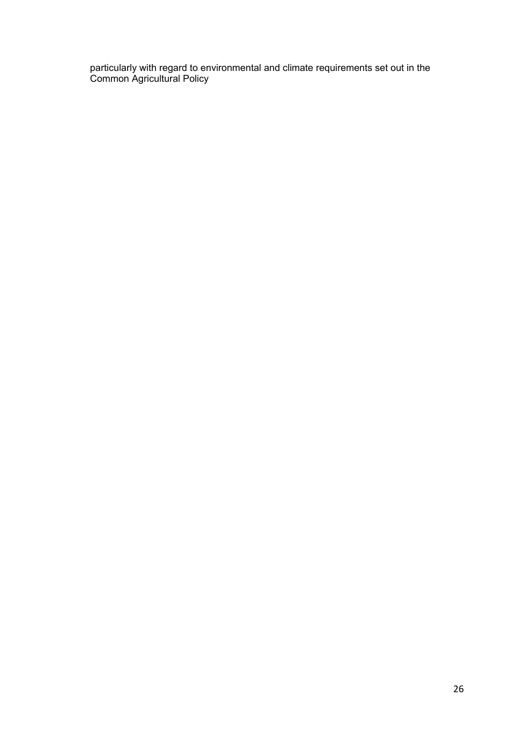particularly with regard to environmental and climate requirements set out in the Common Agricultural Policy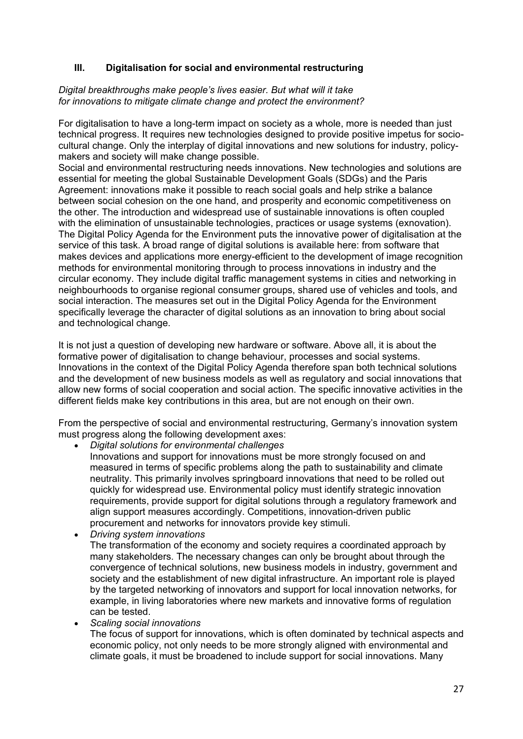# **III. Digitalisation for social and environmental restructuring**

# *Digital breakthroughs make people's lives easier. But what will it take for innovations to mitigate climate change and protect the environment?*

For digitalisation to have a long-term impact on society as a whole, more is needed than just technical progress. It requires new technologies designed to provide positive impetus for sociocultural change. Only the interplay of digital innovations and new solutions for industry, policymakers and society will make change possible.

Social and environmental restructuring needs innovations. New technologies and solutions are essential for meeting the global Sustainable Development Goals (SDGs) and the Paris Agreement: innovations make it possible to reach social goals and help strike a balance between social cohesion on the one hand, and prosperity and economic competitiveness on the other. The introduction and widespread use of sustainable innovations is often coupled with the elimination of unsustainable technologies, practices or usage systems (exnovation). The Digital Policy Agenda for the Environment puts the innovative power of digitalisation at the service of this task. A broad range of digital solutions is available here: from software that makes devices and applications more energy-efficient to the development of image recognition methods for environmental monitoring through to process innovations in industry and the circular economy. They include digital traffic management systems in cities and networking in neighbourhoods to organise regional consumer groups, shared use of vehicles and tools, and social interaction. The measures set out in the Digital Policy Agenda for the Environment specifically leverage the character of digital solutions as an innovation to bring about social and technological change.

It is not just a question of developing new hardware or software. Above all, it is about the formative power of digitalisation to change behaviour, processes and social systems. Innovations in the context of the Digital Policy Agenda therefore span both technical solutions and the development of new business models as well as regulatory and social innovations that allow new forms of social cooperation and social action. The specific innovative activities in the different fields make key contributions in this area, but are not enough on their own.

From the perspective of social and environmental restructuring, Germany's innovation system must progress along the following development axes:

• *Digital solutions for environmental challenges*

- Innovations and support for innovations must be more strongly focused on and measured in terms of specific problems along the path to sustainability and climate neutrality. This primarily involves springboard innovations that need to be rolled out quickly for widespread use. Environmental policy must identify strategic innovation requirements, provide support for digital solutions through a regulatory framework and align support measures accordingly. Competitions, innovation-driven public procurement and networks for innovators provide key stimuli.
- *Driving system innovations*  The transformation of the economy and society requires a coordinated approach by many stakeholders. The necessary changes can only be brought about through the convergence of technical solutions, new business models in industry, government and society and the establishment of new digital infrastructure. An important role is played by the targeted networking of innovators and support for local innovation networks, for example, in living laboratories where new markets and innovative forms of regulation can be tested.
- *Scaling social innovations*

The focus of support for innovations, which is often dominated by technical aspects and economic policy, not only needs to be more strongly aligned with environmental and climate goals, it must be broadened to include support for social innovations. Many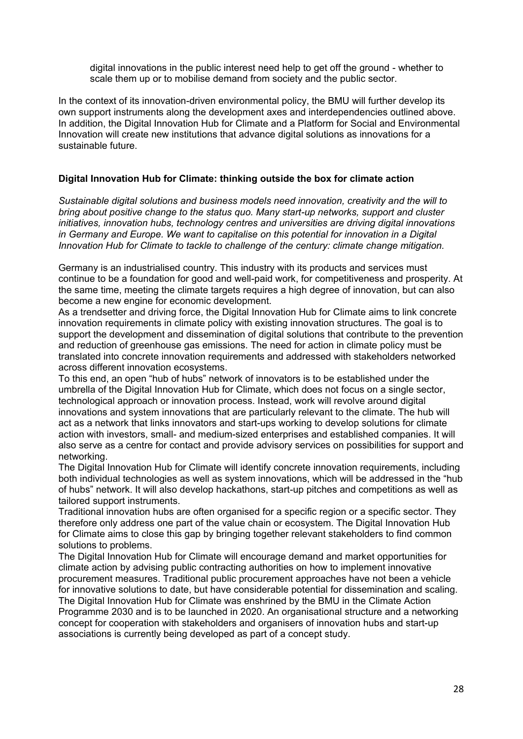digital innovations in the public interest need help to get off the ground - whether to scale them up or to mobilise demand from society and the public sector.

In the context of its innovation-driven environmental policy, the BMU will further develop its own support instruments along the development axes and interdependencies outlined above. In addition, the Digital Innovation Hub for Climate and a Platform for Social and Environmental Innovation will create new institutions that advance digital solutions as innovations for a sustainable future.

# **Digital Innovation Hub for Climate: thinking outside the box for climate action**

*Sustainable digital solutions and business models need innovation, creativity and the will to bring about positive change to the status quo. Many start-up networks, support and cluster initiatives, innovation hubs, technology centres and universities are driving digital innovations in Germany and Europe. We want to capitalise on this potential for innovation in a Digital Innovation Hub for Climate to tackle to challenge of the century: climate change mitigation.* 

Germany is an industrialised country. This industry with its products and services must continue to be a foundation for good and well-paid work, for competitiveness and prosperity. At the same time, meeting the climate targets requires a high degree of innovation, but can also become a new engine for economic development.

As a trendsetter and driving force, the Digital Innovation Hub for Climate aims to link concrete innovation requirements in climate policy with existing innovation structures. The goal is to support the development and dissemination of digital solutions that contribute to the prevention and reduction of greenhouse gas emissions. The need for action in climate policy must be translated into concrete innovation requirements and addressed with stakeholders networked across different innovation ecosystems.

To this end, an open "hub of hubs" network of innovators is to be established under the umbrella of the Digital Innovation Hub for Climate, which does not focus on a single sector, technological approach or innovation process. Instead, work will revolve around digital innovations and system innovations that are particularly relevant to the climate. The hub will act as a network that links innovators and start-ups working to develop solutions for climate action with investors, small- and medium-sized enterprises and established companies. It will also serve as a centre for contact and provide advisory services on possibilities for support and networking.

The Digital Innovation Hub for Climate will identify concrete innovation requirements, including both individual technologies as well as system innovations, which will be addressed in the "hub of hubs" network. It will also develop hackathons, start-up pitches and competitions as well as tailored support instruments.

Traditional innovation hubs are often organised for a specific region or a specific sector. They therefore only address one part of the value chain or ecosystem. The Digital Innovation Hub for Climate aims to close this gap by bringing together relevant stakeholders to find common solutions to problems.

The Digital Innovation Hub for Climate will encourage demand and market opportunities for climate action by advising public contracting authorities on how to implement innovative procurement measures. Traditional public procurement approaches have not been a vehicle for innovative solutions to date, but have considerable potential for dissemination and scaling. The Digital Innovation Hub for Climate was enshrined by the BMU in the Climate Action Programme 2030 and is to be launched in 2020. An organisational structure and a networking concept for cooperation with stakeholders and organisers of innovation hubs and start-up associations is currently being developed as part of a concept study.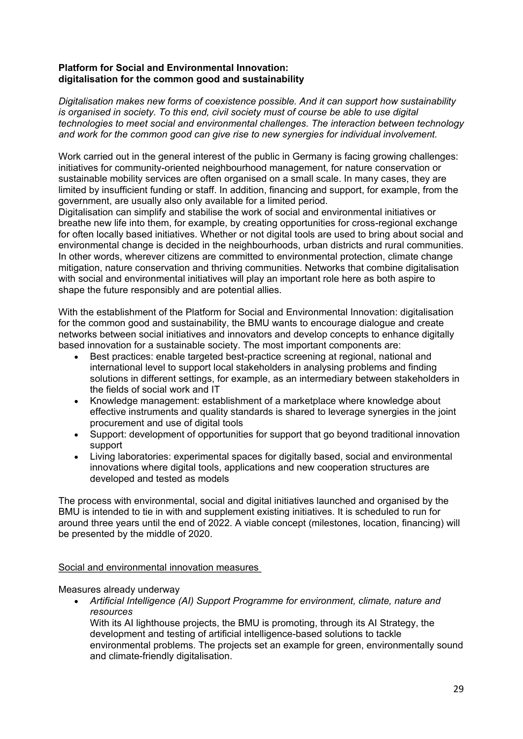# **Platform for Social and Environmental Innovation: digitalisation for the common good and sustainability**

*Digitalisation makes new forms of coexistence possible. And it can support how sustainability is organised in society. To this end, civil society must of course be able to use digital technologies to meet social and environmental challenges. The interaction between technology and work for the common good can give rise to new synergies for individual involvement.* 

Work carried out in the general interest of the public in Germany is facing growing challenges: initiatives for community-oriented neighbourhood management, for nature conservation or sustainable mobility services are often organised on a small scale. In many cases, they are limited by insufficient funding or staff. In addition, financing and support, for example, from the government, are usually also only available for a limited period.

Digitalisation can simplify and stabilise the work of social and environmental initiatives or breathe new life into them, for example, by creating opportunities for cross-regional exchange for often locally based initiatives. Whether or not digital tools are used to bring about social and environmental change is decided in the neighbourhoods, urban districts and rural communities. In other words, wherever citizens are committed to environmental protection, climate change mitigation, nature conservation and thriving communities. Networks that combine digitalisation with social and environmental initiatives will play an important role here as both aspire to shape the future responsibly and are potential allies.

With the establishment of the Platform for Social and Environmental Innovation: digitalisation for the common good and sustainability, the BMU wants to encourage dialogue and create networks between social initiatives and innovators and develop concepts to enhance digitally based innovation for a sustainable society. The most important components are:

- Best practices: enable targeted best-practice screening at regional, national and international level to support local stakeholders in analysing problems and finding solutions in different settings, for example, as an intermediary between stakeholders in the fields of social work and IT
- Knowledge management: establishment of a marketplace where knowledge about effective instruments and quality standards is shared to leverage synergies in the joint procurement and use of digital tools
- Support: development of opportunities for support that go beyond traditional innovation support
- Living laboratories: experimental spaces for digitally based, social and environmental innovations where digital tools, applications and new cooperation structures are developed and tested as models

The process with environmental, social and digital initiatives launched and organised by the BMU is intended to tie in with and supplement existing initiatives. It is scheduled to run for around three years until the end of 2022. A viable concept (milestones, location, financing) will be presented by the middle of 2020.

# Social and environmental innovation measures

Measures already underway

• *Artificial Intelligence (AI) Support Programme for environment, climate, nature and resources*

With its AI lighthouse projects, the BMU is promoting, through its AI Strategy, the development and testing of artificial intelligence-based solutions to tackle environmental problems. The projects set an example for green, environmentally sound and climate-friendly digitalisation.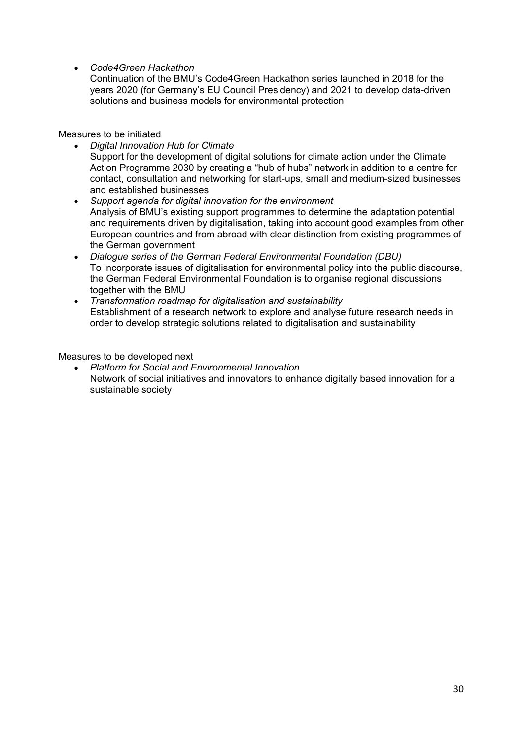• *Code4Green Hackathon*

Continuation of the BMU's Code4Green Hackathon series launched in 2018 for the years 2020 (for Germany's EU Council Presidency) and 2021 to develop data-driven solutions and business models for environmental protection

Measures to be initiated

• *Digital Innovation Hub for Climate* 

Support for the development of digital solutions for climate action under the Climate Action Programme 2030 by creating a "hub of hubs" network in addition to a centre for contact, consultation and networking for start-ups, small and medium-sized businesses and established businesses

- *Support agenda for digital innovation for the environment* Analysis of BMU's existing support programmes to determine the adaptation potential and requirements driven by digitalisation, taking into account good examples from other European countries and from abroad with clear distinction from existing programmes of the German government
- *Dialogue series of the German Federal Environmental Foundation (DBU)*  To incorporate issues of digitalisation for environmental policy into the public discourse, the German Federal Environmental Foundation is to organise regional discussions together with the BMU
- *Transformation roadmap for digitalisation and sustainability* Establishment of a research network to explore and analyse future research needs in order to develop strategic solutions related to digitalisation and sustainability

Measures to be developed next

• *Platform for Social and Environmental Innovation* Network of social initiatives and innovators to enhance digitally based innovation for a sustainable society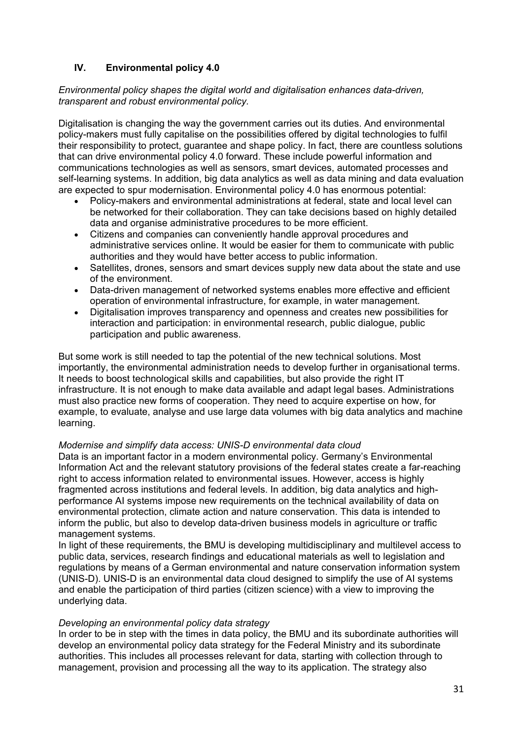# **IV. Environmental policy 4.0**

# *Environmental policy shapes the digital world and digitalisation enhances data-driven, transparent and robust environmental policy.*

Digitalisation is changing the way the government carries out its duties. And environmental policy-makers must fully capitalise on the possibilities offered by digital technologies to fulfil their responsibility to protect, guarantee and shape policy. In fact, there are countless solutions that can drive environmental policy 4.0 forward. These include powerful information and communications technologies as well as sensors, smart devices, automated processes and self-learning systems. In addition, big data analytics as well as data mining and data evaluation are expected to spur modernisation. Environmental policy 4.0 has enormous potential:

- Policy-makers and environmental administrations at federal, state and local level can be networked for their collaboration. They can take decisions based on highly detailed data and organise administrative procedures to be more efficient.
- Citizens and companies can conveniently handle approval procedures and administrative services online. It would be easier for them to communicate with public authorities and they would have better access to public information.
- Satellites, drones, sensors and smart devices supply new data about the state and use of the environment.
- Data-driven management of networked systems enables more effective and efficient operation of environmental infrastructure, for example, in water management.
- Digitalisation improves transparency and openness and creates new possibilities for interaction and participation: in environmental research, public dialogue, public participation and public awareness.

But some work is still needed to tap the potential of the new technical solutions. Most importantly, the environmental administration needs to develop further in organisational terms. It needs to boost technological skills and capabilities, but also provide the right IT infrastructure. It is not enough to make data available and adapt legal bases. Administrations must also practice new forms of cooperation. They need to acquire expertise on how, for example, to evaluate, analyse and use large data volumes with big data analytics and machine learning.

# *Modernise and simplify data access: UNIS-D environmental data cloud*

Data is an important factor in a modern environmental policy. Germany's Environmental Information Act and the relevant statutory provisions of the federal states create a far-reaching right to access information related to environmental issues. However, access is highly fragmented across institutions and federal levels. In addition, big data analytics and highperformance AI systems impose new requirements on the technical availability of data on environmental protection, climate action and nature conservation. This data is intended to inform the public, but also to develop data-driven business models in agriculture or traffic management systems.

In light of these requirements, the BMU is developing multidisciplinary and multilevel access to public data, services, research findings and educational materials as well to legislation and regulations by means of a German environmental and nature conservation information system (UNIS-D). UNIS-D is an environmental data cloud designed to simplify the use of AI systems and enable the participation of third parties (citizen science) with a view to improving the underlying data.

# *Developing an environmental policy data strategy*

In order to be in step with the times in data policy, the BMU and its subordinate authorities will develop an environmental policy data strategy for the Federal Ministry and its subordinate authorities. This includes all processes relevant for data, starting with collection through to management, provision and processing all the way to its application. The strategy also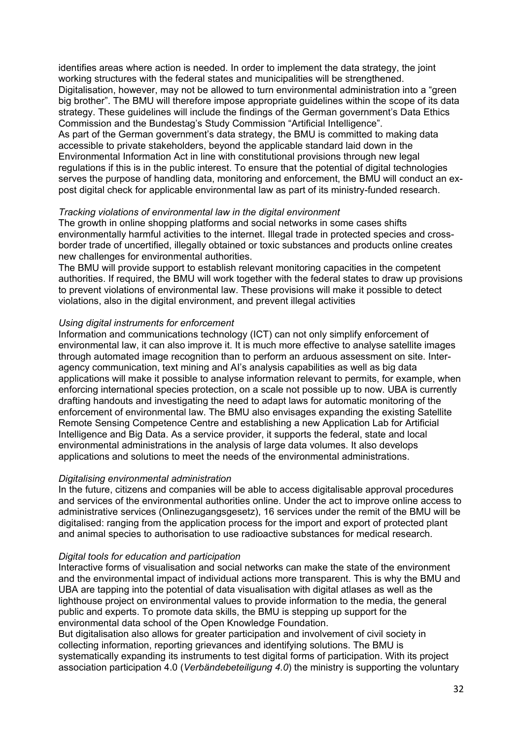identifies areas where action is needed. In order to implement the data strategy, the joint working structures with the federal states and municipalities will be strengthened. Digitalisation, however, may not be allowed to turn environmental administration into a "green big brother". The BMU will therefore impose appropriate guidelines within the scope of its data strategy. These guidelines will include the findings of the German government's Data Ethics Commission and the Bundestag's Study Commission "Artificial Intelligence". As part of the German government's data strategy, the BMU is committed to making data accessible to private stakeholders, beyond the applicable standard laid down in the Environmental Information Act in line with constitutional provisions through new legal regulations if this is in the public interest. To ensure that the potential of digital technologies serves the purpose of handling data, monitoring and enforcement, the BMU will conduct an expost digital check for applicable environmental law as part of its ministry-funded research.

# *Tracking violations of environmental law in the digital environment*

The growth in online shopping platforms and social networks in some cases shifts environmentally harmful activities to the internet. Illegal trade in protected species and crossborder trade of uncertified, illegally obtained or toxic substances and products online creates new challenges for environmental authorities.

The BMU will provide support to establish relevant monitoring capacities in the competent authorities. If required, the BMU will work together with the federal states to draw up provisions to prevent violations of environmental law. These provisions will make it possible to detect violations, also in the digital environment, and prevent illegal activities

# *Using digital instruments for enforcement*

Information and communications technology (ICT) can not only simplify enforcement of environmental law, it can also improve it. It is much more effective to analyse satellite images through automated image recognition than to perform an arduous assessment on site. Interagency communication, text mining and AI's analysis capabilities as well as big data applications will make it possible to analyse information relevant to permits, for example, when enforcing international species protection, on a scale not possible up to now. UBA is currently drafting handouts and investigating the need to adapt laws for automatic monitoring of the enforcement of environmental law. The BMU also envisages expanding the existing Satellite Remote Sensing Competence Centre and establishing a new Application Lab for Artificial Intelligence and Big Data. As a service provider, it supports the federal, state and local environmental administrations in the analysis of large data volumes. It also develops applications and solutions to meet the needs of the environmental administrations.

# *Digitalising environmental administration*

In the future, citizens and companies will be able to access digitalisable approval procedures and services of the environmental authorities online. Under the act to improve online access to administrative services (Onlinezugangsgesetz), 16 services under the remit of the BMU will be digitalised: ranging from the application process for the import and export of protected plant and animal species to authorisation to use radioactive substances for medical research.

# *Digital tools for education and participation*

Interactive forms of visualisation and social networks can make the state of the environment and the environmental impact of individual actions more transparent. This is why the BMU and UBA are tapping into the potential of data visualisation with digital atlases as well as the lighthouse project on environmental values to provide information to the media, the general public and experts. To promote data skills, the BMU is stepping up support for the environmental data school of the Open Knowledge Foundation.

But digitalisation also allows for greater participation and involvement of civil society in collecting information, reporting grievances and identifying solutions. The BMU is systematically expanding its instruments to test digital forms of participation. With its project association participation 4.0 (*Verbändebeteiligung 4.0*) the ministry is supporting the voluntary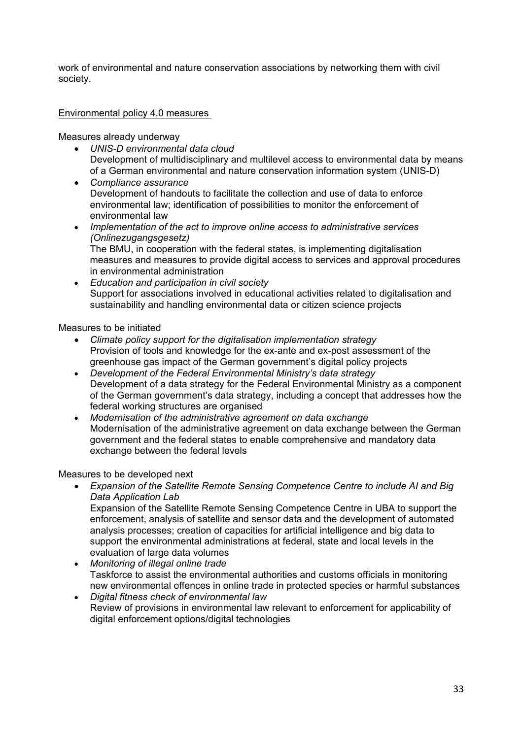work of environmental and nature conservation associations by networking them with civil society.

# Environmental policy 4.0 measures

Measures already underway

- *UNIS-D environmental data cloud* Development of multidisciplinary and multilevel access to environmental data by means of a German environmental and nature conservation information system (UNIS-D)
- *Compliance assurance* Development of handouts to facilitate the collection and use of data to enforce environmental law; identification of possibilities to monitor the enforcement of environmental law
- *Implementation of the act to improve online access to administrative services (Onlinezugangsgesetz)* The BMU, in cooperation with the federal states, is implementing digitalisation measures and measures to provide digital access to services and approval procedures in environmental administration
- *Education and participation in civil society*  Support for associations involved in educational activities related to digitalisation and sustainability and handling environmental data or citizen science projects

Measures to be initiated

- *Climate policy support for the digitalisation implementation strategy* Provision of tools and knowledge for the ex-ante and ex-post assessment of the greenhouse gas impact of the German government's digital policy projects
- *Development of the Federal Environmental Ministry's data strategy* Development of a data strategy for the Federal Environmental Ministry as a component of the German government's data strategy, including a concept that addresses how the federal working structures are organised
- *Modernisation of the administrative agreement on data exchange* Modernisation of the administrative agreement on data exchange between the German government and the federal states to enable comprehensive and mandatory data exchange between the federal levels

Measures to be developed next

• *Expansion of the Satellite Remote Sensing Competence Centre to include AI and Big Data Application Lab*

Expansion of the Satellite Remote Sensing Competence Centre in UBA to support the enforcement, analysis of satellite and sensor data and the development of automated analysis processes; creation of capacities for artificial intelligence and big data to support the environmental administrations at federal, state and local levels in the evaluation of large data volumes

- *Monitoring of illegal online trade* Taskforce to assist the environmental authorities and customs officials in monitoring new environmental offences in online trade in protected species or harmful substances
- *Digital fitness check of environmental law* Review of provisions in environmental law relevant to enforcement for applicability of digital enforcement options/digital technologies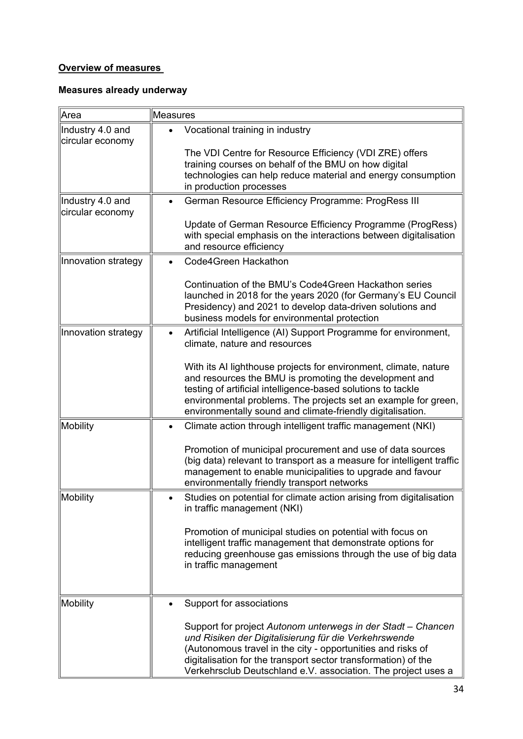# **Overview of measures**

# **Measures already underway**

| Area                                 | Measures                                                                                                                                                                                                                                                                                                                   |
|--------------------------------------|----------------------------------------------------------------------------------------------------------------------------------------------------------------------------------------------------------------------------------------------------------------------------------------------------------------------------|
| Industry 4.0 and<br>circular economy | Vocational training in industry                                                                                                                                                                                                                                                                                            |
|                                      | The VDI Centre for Resource Efficiency (VDI ZRE) offers<br>training courses on behalf of the BMU on how digital<br>technologies can help reduce material and energy consumption<br>in production processes                                                                                                                 |
| Industry 4.0 and<br>circular economy | German Resource Efficiency Programme: ProgRess III                                                                                                                                                                                                                                                                         |
|                                      | Update of German Resource Efficiency Programme (ProgRess)<br>with special emphasis on the interactions between digitalisation<br>and resource efficiency                                                                                                                                                                   |
| Innovation strategy                  | Code4Green Hackathon                                                                                                                                                                                                                                                                                                       |
|                                      | Continuation of the BMU's Code4Green Hackathon series<br>launched in 2018 for the years 2020 (for Germany's EU Council<br>Presidency) and 2021 to develop data-driven solutions and<br>business models for environmental protection                                                                                        |
| Innovation strategy                  | Artificial Intelligence (AI) Support Programme for environment,<br>climate, nature and resources                                                                                                                                                                                                                           |
|                                      | With its AI lighthouse projects for environment, climate, nature<br>and resources the BMU is promoting the development and<br>testing of artificial intelligence-based solutions to tackle<br>environmental problems. The projects set an example for green,<br>environmentally sound and climate-friendly digitalisation. |
| <b>Mobility</b>                      | Climate action through intelligent traffic management (NKI)                                                                                                                                                                                                                                                                |
|                                      | Promotion of municipal procurement and use of data sources<br>(big data) relevant to transport as a measure for intelligent traffic<br>management to enable municipalities to upgrade and favour<br>environmentally friendly transport networks                                                                            |
| Mobility                             | Studies on potential for climate action arising from digitalisation<br>in traffic management (NKI)                                                                                                                                                                                                                         |
|                                      | Promotion of municipal studies on potential with focus on<br>intelligent traffic management that demonstrate options for<br>reducing greenhouse gas emissions through the use of big data<br>in traffic management                                                                                                         |
| <b>Mobility</b>                      | Support for associations                                                                                                                                                                                                                                                                                                   |
|                                      | Support for project Autonom unterwegs in der Stadt - Chancen<br>und Risiken der Digitalisierung für die Verkehrswende<br>(Autonomous travel in the city - opportunities and risks of<br>digitalisation for the transport sector transformation) of the<br>Verkehrsclub Deutschland e.V. association. The project uses a    |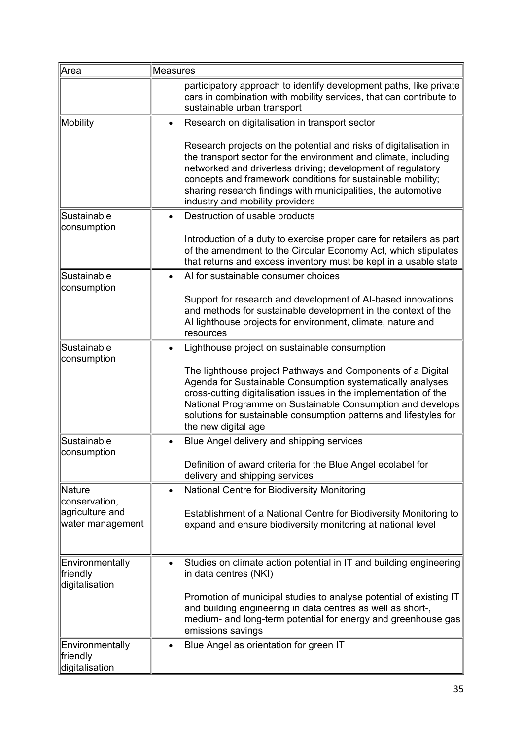| Area                                                 | Measures                                                                                                                                                                                                                                                                                                                                                               |
|------------------------------------------------------|------------------------------------------------------------------------------------------------------------------------------------------------------------------------------------------------------------------------------------------------------------------------------------------------------------------------------------------------------------------------|
|                                                      | participatory approach to identify development paths, like private<br>cars in combination with mobility services, that can contribute to<br>sustainable urban transport                                                                                                                                                                                                |
| Mobility                                             | Research on digitalisation in transport sector                                                                                                                                                                                                                                                                                                                         |
|                                                      | Research projects on the potential and risks of digitalisation in<br>the transport sector for the environment and climate, including<br>networked and driverless driving; development of regulatory<br>concepts and framework conditions for sustainable mobility;<br>sharing research findings with municipalities, the automotive<br>industry and mobility providers |
| Sustainable                                          | Destruction of usable products                                                                                                                                                                                                                                                                                                                                         |
| consumption                                          | Introduction of a duty to exercise proper care for retailers as part<br>of the amendment to the Circular Economy Act, which stipulates<br>that returns and excess inventory must be kept in a usable state                                                                                                                                                             |
| Sustainable                                          | Al for sustainable consumer choices                                                                                                                                                                                                                                                                                                                                    |
| consumption                                          | Support for research and development of AI-based innovations<br>and methods for sustainable development in the context of the<br>Al lighthouse projects for environment, climate, nature and<br>resources                                                                                                                                                              |
| Sustainable                                          | Lighthouse project on sustainable consumption                                                                                                                                                                                                                                                                                                                          |
| consumption                                          | The lighthouse project Pathways and Components of a Digital<br>Agenda for Sustainable Consumption systematically analyses<br>cross-cutting digitalisation issues in the implementation of the<br>National Programme on Sustainable Consumption and develops<br>solutions for sustainable consumption patterns and lifestyles for<br>the new digital age                |
| Sustainable                                          | Blue Angel delivery and shipping services                                                                                                                                                                                                                                                                                                                              |
| consumption                                          | Definition of award criteria for the Blue Angel ecolabel for<br>delivery and shipping services                                                                                                                                                                                                                                                                         |
| <b>Nature</b>                                        | National Centre for Biodiversity Monitoring<br>$\bullet$                                                                                                                                                                                                                                                                                                               |
| conservation,<br>agriculture and<br>water management | Establishment of a National Centre for Biodiversity Monitoring to<br>expand and ensure biodiversity monitoring at national level                                                                                                                                                                                                                                       |
| Environmentally<br>friendly<br>digitalisation        | Studies on climate action potential in IT and building engineering<br>in data centres (NKI)                                                                                                                                                                                                                                                                            |
|                                                      | Promotion of municipal studies to analyse potential of existing IT<br>and building engineering in data centres as well as short-,<br>medium- and long-term potential for energy and greenhouse gas<br>emissions savings                                                                                                                                                |
| Environmentally<br>friendly<br>digitalisation        | Blue Angel as orientation for green IT                                                                                                                                                                                                                                                                                                                                 |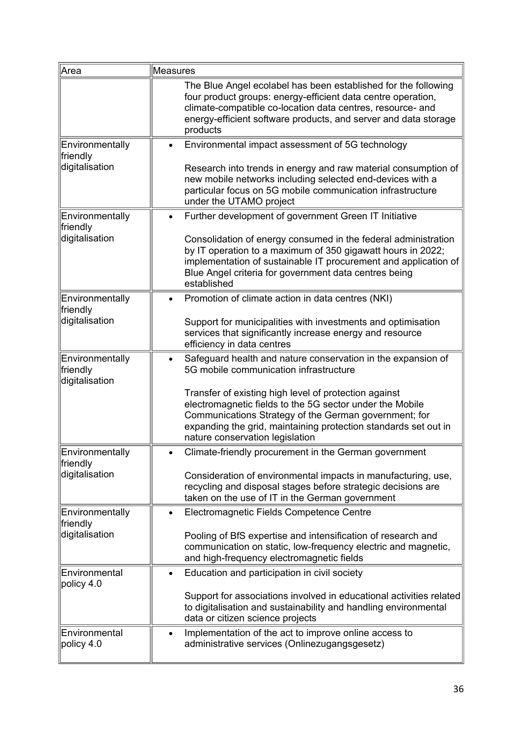| Area                                                 | Measures                                                                                                                                                                                                                                                                                                                                                                                   |
|------------------------------------------------------|--------------------------------------------------------------------------------------------------------------------------------------------------------------------------------------------------------------------------------------------------------------------------------------------------------------------------------------------------------------------------------------------|
|                                                      | The Blue Angel ecolabel has been established for the following<br>four product groups: energy-efficient data centre operation,<br>climate-compatible co-location data centres, resource- and<br>energy-efficient software products, and server and data storage<br>products                                                                                                                |
| Environmentally<br>friendly<br>digitalisation        | Environmental impact assessment of 5G technology<br>$\bullet$<br>Research into trends in energy and raw material consumption of<br>new mobile networks including selected end-devices with a<br>particular focus on 5G mobile communication infrastructure<br>under the UTAMO project                                                                                                      |
| Environmentally<br>friendly<br>digitalisation        | Further development of government Green IT Initiative<br>$\bullet$<br>Consolidation of energy consumed in the federal administration<br>by IT operation to a maximum of 350 gigawatt hours in 2022;<br>implementation of sustainable IT procurement and application of<br>Blue Angel criteria for government data centres being<br>established                                             |
| Environmentally<br>friendly<br>digitalisation        | Promotion of climate action in data centres (NKI)<br>Support for municipalities with investments and optimisation<br>services that significantly increase energy and resource<br>efficiency in data centres                                                                                                                                                                                |
| Environmentally<br>friendly<br>digitalisation        | Safeguard health and nature conservation in the expansion of<br>5G mobile communication infrastructure<br>Transfer of existing high level of protection against<br>electromagnetic fields to the 5G sector under the Mobile<br>Communications Strategy of the German government; for<br>expanding the grid, maintaining protection standards set out in<br>nature conservation legislation |
| Environmentally<br><b>friendly</b><br>digitalisation | Climate-friendly procurement in the German government<br>Consideration of environmental impacts in manufacturing, use,<br>recycling and disposal stages before strategic decisions are<br>taken on the use of IT in the German government                                                                                                                                                  |
| Environmentally<br>friendly<br>digitalisation        | Electromagnetic Fields Competence Centre<br>Pooling of BfS expertise and intensification of research and<br>communication on static, low-frequency electric and magnetic,<br>and high-frequency electromagnetic fields                                                                                                                                                                     |
| Environmental<br>policy 4.0                          | Education and participation in civil society<br>Support for associations involved in educational activities related<br>to digitalisation and sustainability and handling environmental<br>data or citizen science projects                                                                                                                                                                 |
| Environmental<br>policy 4.0                          | Implementation of the act to improve online access to<br>administrative services (Onlinezugangsgesetz)                                                                                                                                                                                                                                                                                     |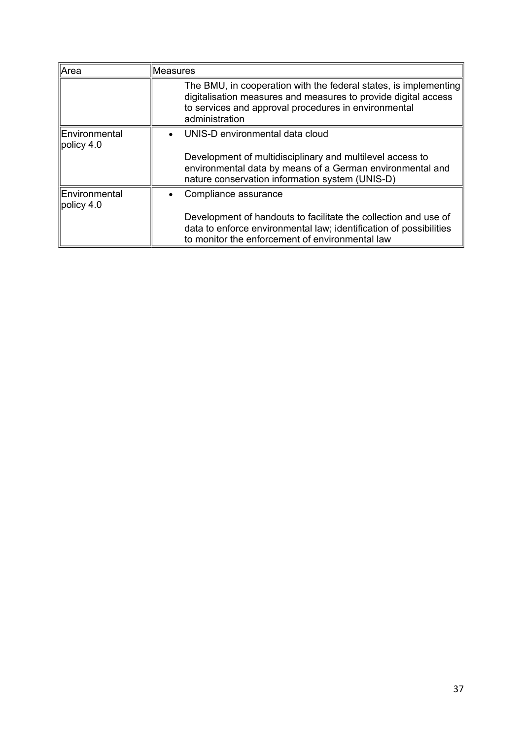| Area                                           | Measures                                                                                                                                                                                                     |
|------------------------------------------------|--------------------------------------------------------------------------------------------------------------------------------------------------------------------------------------------------------------|
|                                                | The BMU, in cooperation with the federal states, is implementing<br>digitalisation measures and measures to provide digital access<br>to services and approval procedures in environmental<br>administration |
| <b>Environmental</b><br>$\parallel$ policy 4.0 | UNIS-D environmental data cloud                                                                                                                                                                              |
|                                                | Development of multidisciplinary and multilevel access to<br>environmental data by means of a German environmental and<br>nature conservation information system (UNIS-D)                                    |
| Environmental<br>$\parallel$ policy 4.0        | Compliance assurance<br>$\bullet$                                                                                                                                                                            |
|                                                | Development of handouts to facilitate the collection and use of<br>data to enforce environmental law; identification of possibilities<br>to monitor the enforcement of environmental law                     |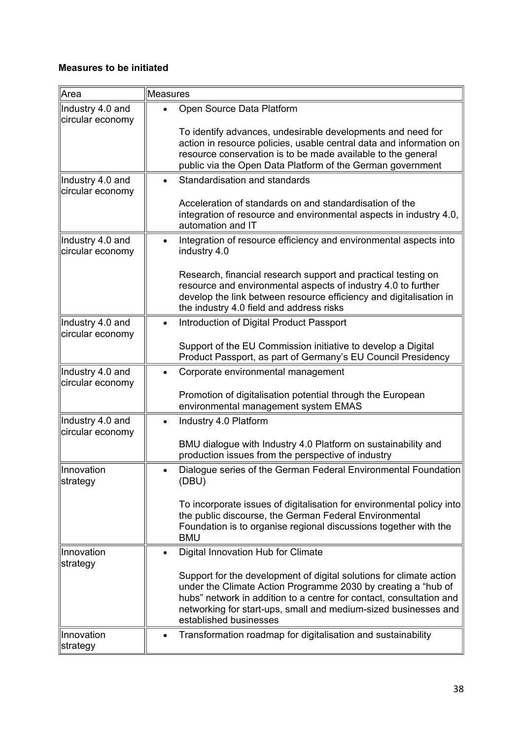# **Measures to be initiated**

| Area                                 | Measures                                                                                                                                                                                                                                                                                                 |
|--------------------------------------|----------------------------------------------------------------------------------------------------------------------------------------------------------------------------------------------------------------------------------------------------------------------------------------------------------|
| Industry 4.0 and<br>circular economy | Open Source Data Platform                                                                                                                                                                                                                                                                                |
|                                      | To identify advances, undesirable developments and need for<br>action in resource policies, usable central data and information on<br>resource conservation is to be made available to the general<br>public via the Open Data Platform of the German government                                         |
| Industry 4.0 and<br>circular economy | Standardisation and standards                                                                                                                                                                                                                                                                            |
|                                      | Acceleration of standards on and standardisation of the<br>integration of resource and environmental aspects in industry 4.0,<br>automation and IT                                                                                                                                                       |
| Industry 4.0 and<br>circular economy | Integration of resource efficiency and environmental aspects into<br>industry 4.0                                                                                                                                                                                                                        |
|                                      | Research, financial research support and practical testing on<br>resource and environmental aspects of industry 4.0 to further<br>develop the link between resource efficiency and digitalisation in<br>the industry 4.0 field and address risks                                                         |
| Industry 4.0 and<br>circular economy | Introduction of Digital Product Passport                                                                                                                                                                                                                                                                 |
|                                      | Support of the EU Commission initiative to develop a Digital<br>Product Passport, as part of Germany's EU Council Presidency                                                                                                                                                                             |
| Industry 4.0 and<br>circular economy | Corporate environmental management                                                                                                                                                                                                                                                                       |
|                                      | Promotion of digitalisation potential through the European<br>environmental management system EMAS                                                                                                                                                                                                       |
| Industry 4.0 and<br>circular economy | Industry 4.0 Platform                                                                                                                                                                                                                                                                                    |
|                                      | BMU dialogue with Industry 4.0 Platform on sustainability and<br>production issues from the perspective of industry                                                                                                                                                                                      |
| Innovation<br>strategy               | Dialogue series of the German Federal Environmental Foundation<br>(DBU)                                                                                                                                                                                                                                  |
|                                      | To incorporate issues of digitalisation for environmental policy into<br>the public discourse, the German Federal Environmental<br>Foundation is to organise regional discussions together with the<br><b>BMU</b>                                                                                        |
| Innovation<br>strategy               | Digital Innovation Hub for Climate                                                                                                                                                                                                                                                                       |
|                                      | Support for the development of digital solutions for climate action<br>under the Climate Action Programme 2030 by creating a "hub of<br>hubs" network in addition to a centre for contact, consultation and<br>networking for start-ups, small and medium-sized businesses and<br>established businesses |
| Innovation<br>strategy               | Transformation roadmap for digitalisation and sustainability<br>$\bullet$                                                                                                                                                                                                                                |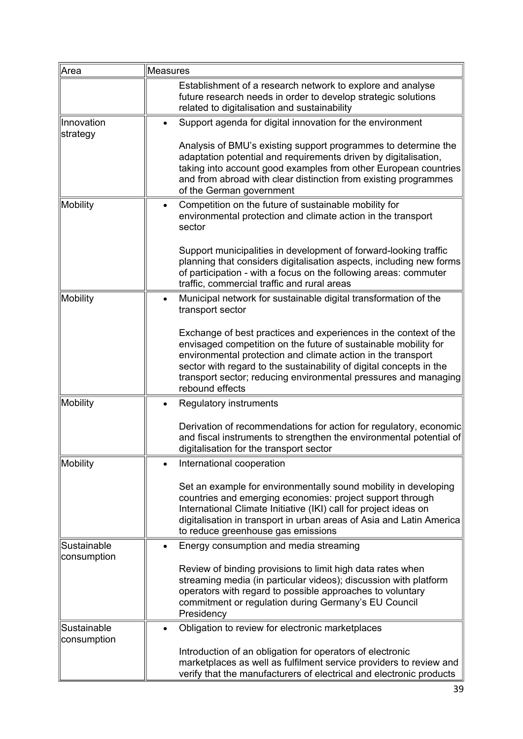| Area                       | Measures                                                                                                                                                                                                                                                                                                                                                         |
|----------------------------|------------------------------------------------------------------------------------------------------------------------------------------------------------------------------------------------------------------------------------------------------------------------------------------------------------------------------------------------------------------|
|                            | Establishment of a research network to explore and analyse<br>future research needs in order to develop strategic solutions<br>related to digitalisation and sustainability                                                                                                                                                                                      |
| Innovation<br>strategy     | Support agenda for digital innovation for the environment                                                                                                                                                                                                                                                                                                        |
|                            | Analysis of BMU's existing support programmes to determine the<br>adaptation potential and requirements driven by digitalisation,<br>taking into account good examples from other European countries<br>and from abroad with clear distinction from existing programmes<br>of the German government                                                              |
| Mobility                   | Competition on the future of sustainable mobility for<br>$\bullet$<br>environmental protection and climate action in the transport<br>sector                                                                                                                                                                                                                     |
|                            | Support municipalities in development of forward-looking traffic<br>planning that considers digitalisation aspects, including new forms<br>of participation - with a focus on the following areas: commuter<br>traffic, commercial traffic and rural areas                                                                                                       |
| Mobility                   | Municipal network for sustainable digital transformation of the<br>$\bullet$<br>transport sector                                                                                                                                                                                                                                                                 |
|                            | Exchange of best practices and experiences in the context of the<br>envisaged competition on the future of sustainable mobility for<br>environmental protection and climate action in the transport<br>sector with regard to the sustainability of digital concepts in the<br>transport sector; reducing environmental pressures and managing<br>rebound effects |
| Mobility                   | Regulatory instruments                                                                                                                                                                                                                                                                                                                                           |
|                            | Derivation of recommendations for action for regulatory, economic<br>and fiscal instruments to strengthen the environmental potential of<br>digitalisation for the transport sector                                                                                                                                                                              |
| Mobility                   | International cooperation                                                                                                                                                                                                                                                                                                                                        |
|                            | Set an example for environmentally sound mobility in developing<br>countries and emerging economies: project support through<br>International Climate Initiative (IKI) call for project ideas on<br>digitalisation in transport in urban areas of Asia and Latin America<br>to reduce greenhouse gas emissions                                                   |
| Sustainable<br>consumption | Energy consumption and media streaming                                                                                                                                                                                                                                                                                                                           |
|                            | Review of binding provisions to limit high data rates when<br>streaming media (in particular videos); discussion with platform<br>operators with regard to possible approaches to voluntary<br>commitment or regulation during Germany's EU Council<br>Presidency                                                                                                |
| Sustainable<br>consumption | Obligation to review for electronic marketplaces                                                                                                                                                                                                                                                                                                                 |
|                            | Introduction of an obligation for operators of electronic<br>marketplaces as well as fulfilment service providers to review and<br>verify that the manufacturers of electrical and electronic products                                                                                                                                                           |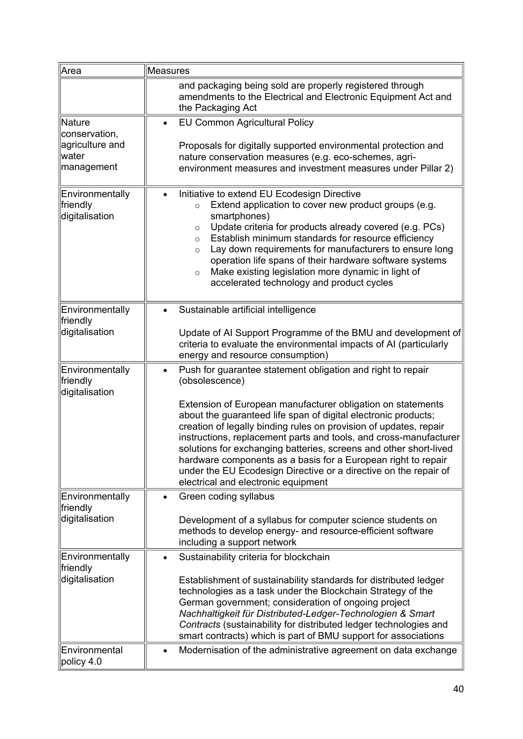| Area                                                                       | Measures                                                                                                                                                                                                                                                                                                                                                                                                                                                                                                                                                                                                  |
|----------------------------------------------------------------------------|-----------------------------------------------------------------------------------------------------------------------------------------------------------------------------------------------------------------------------------------------------------------------------------------------------------------------------------------------------------------------------------------------------------------------------------------------------------------------------------------------------------------------------------------------------------------------------------------------------------|
|                                                                            | and packaging being sold are properly registered through<br>amendments to the Electrical and Electronic Equipment Act and<br>the Packaging Act                                                                                                                                                                                                                                                                                                                                                                                                                                                            |
| Nature<br>conservation,<br>agriculture and<br><b>I</b> water<br>management | EU Common Agricultural Policy<br>Proposals for digitally supported environmental protection and<br>nature conservation measures (e.g. eco-schemes, agri-<br>environment measures and investment measures under Pillar 2)                                                                                                                                                                                                                                                                                                                                                                                  |
| Environmentally<br>friendly<br>digitalisation                              | Initiative to extend EU Ecodesign Directive<br>Extend application to cover new product groups (e.g.<br>$\circ$<br>smartphones)<br>Update criteria for products already covered (e.g. PCs)<br>$\circ$<br>Establish minimum standards for resource efficiency<br>$\circ$<br>Lay down requirements for manufacturers to ensure long<br>$\circ$<br>operation life spans of their hardware software systems<br>Make existing legislation more dynamic in light of<br>$\circ$<br>accelerated technology and product cycles                                                                                      |
| Environmentally<br>friendly<br>digitalisation                              | Sustainable artificial intelligence<br>Update of AI Support Programme of the BMU and development of<br>criteria to evaluate the environmental impacts of AI (particularly<br>energy and resource consumption)                                                                                                                                                                                                                                                                                                                                                                                             |
| Environmentally<br><b>friendly</b><br>digitalisation                       | Push for guarantee statement obligation and right to repair<br>(obsolescence)<br>Extension of European manufacturer obligation on statements<br>about the guaranteed life span of digital electronic products;<br>creation of legally binding rules on provision of updates, repair<br>instructions, replacement parts and tools, and cross-manufacturer<br>solutions for exchanging batteries, screens and other short-lived<br>hardware components as a basis for a European right to repair<br>under the EU Ecodesign Directive or a directive on the repair of<br>electrical and electronic equipment |
| Environmentally<br>friendly<br>digitalisation                              | Green coding syllabus<br>Development of a syllabus for computer science students on<br>methods to develop energy- and resource-efficient software<br>including a support network                                                                                                                                                                                                                                                                                                                                                                                                                          |
| Environmentally<br>friendly<br>digitalisation<br>Environmental             | Sustainability criteria for blockchain<br>Establishment of sustainability standards for distributed ledger<br>technologies as a task under the Blockchain Strategy of the<br>German government; consideration of ongoing project<br>Nachhaltigkeit für Distributed-Ledger-Technologien & Smart<br>Contracts (sustainability for distributed ledger technologies and<br>smart contracts) which is part of BMU support for associations<br>Modernisation of the administrative agreement on data exchange<br>$\bullet$                                                                                      |
| policy 4.0                                                                 |                                                                                                                                                                                                                                                                                                                                                                                                                                                                                                                                                                                                           |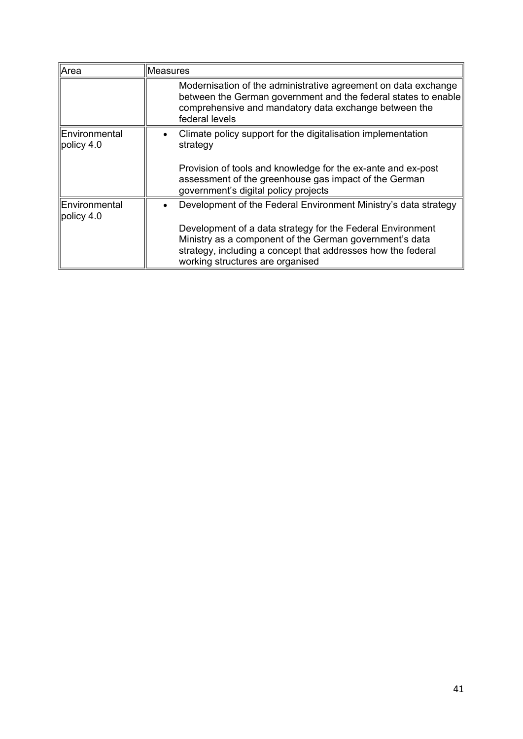| Area                          | <b>Measures</b>                                                                                                                                                                                                           |
|-------------------------------|---------------------------------------------------------------------------------------------------------------------------------------------------------------------------------------------------------------------------|
|                               | Modernisation of the administrative agreement on data exchange<br>between the German government and the federal states to enable<br>comprehensive and mandatory data exchange between the<br>federal levels               |
| Environmental<br>policy 4.0   | Climate policy support for the digitalisation implementation<br>strategy                                                                                                                                                  |
|                               | Provision of tools and knowledge for the ex-ante and ex-post<br>assessment of the greenhouse gas impact of the German<br>government's digital policy projects                                                             |
| Environmental<br>policy $4.0$ | Development of the Federal Environment Ministry's data strategy                                                                                                                                                           |
|                               | Development of a data strategy for the Federal Environment<br>Ministry as a component of the German government's data<br>strategy, including a concept that addresses how the federal<br>working structures are organised |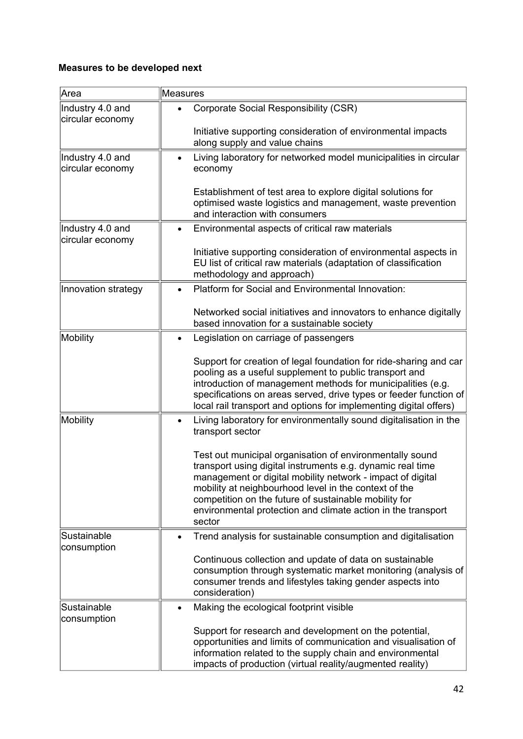# **Measures to be developed next**

| Area                                 | <b>Measures</b>                                                                                                                                                                                                                                                                                                                                                                  |
|--------------------------------------|----------------------------------------------------------------------------------------------------------------------------------------------------------------------------------------------------------------------------------------------------------------------------------------------------------------------------------------------------------------------------------|
| Industry 4.0 and<br>circular economy | <b>Corporate Social Responsibility (CSR)</b><br>Initiative supporting consideration of environmental impacts                                                                                                                                                                                                                                                                     |
| Industry 4.0 and<br>circular economy | along supply and value chains<br>Living laboratory for networked model municipalities in circular<br>economy<br>Establishment of test area to explore digital solutions for                                                                                                                                                                                                      |
|                                      | optimised waste logistics and management, waste prevention<br>and interaction with consumers                                                                                                                                                                                                                                                                                     |
| Industry 4.0 and<br>circular economy | Environmental aspects of critical raw materials<br>Initiative supporting consideration of environmental aspects in<br>EU list of critical raw materials (adaptation of classification                                                                                                                                                                                            |
|                                      | methodology and approach)                                                                                                                                                                                                                                                                                                                                                        |
| Innovation strategy                  | Platform for Social and Environmental Innovation:                                                                                                                                                                                                                                                                                                                                |
|                                      | Networked social initiatives and innovators to enhance digitally<br>based innovation for a sustainable society                                                                                                                                                                                                                                                                   |
| Mobility                             | Legislation on carriage of passengers<br>$\bullet$                                                                                                                                                                                                                                                                                                                               |
|                                      | Support for creation of legal foundation for ride-sharing and car<br>pooling as a useful supplement to public transport and<br>introduction of management methods for municipalities (e.g.<br>specifications on areas served, drive types or feeder function of<br>local rail transport and options for implementing digital offers)                                             |
| Mobility                             | Living laboratory for environmentally sound digitalisation in the<br>transport sector                                                                                                                                                                                                                                                                                            |
|                                      | Test out municipal organisation of environmentally sound<br>transport using digital instruments e.g. dynamic real time<br>management or digital mobility network - impact of digital<br>mobility at neighbourhood level in the context of the<br>competition on the future of sustainable mobility for<br>environmental protection and climate action in the transport<br>sector |
| Sustainable<br>consumption           | Trend analysis for sustainable consumption and digitalisation                                                                                                                                                                                                                                                                                                                    |
|                                      | Continuous collection and update of data on sustainable<br>consumption through systematic market monitoring (analysis of<br>consumer trends and lifestyles taking gender aspects into<br>consideration)                                                                                                                                                                          |
| Sustainable<br>consumption           | Making the ecological footprint visible<br>$\bullet$<br>Support for research and development on the potential,                                                                                                                                                                                                                                                                   |
|                                      | opportunities and limits of communication and visualisation of<br>information related to the supply chain and environmental<br>impacts of production (virtual reality/augmented reality)                                                                                                                                                                                         |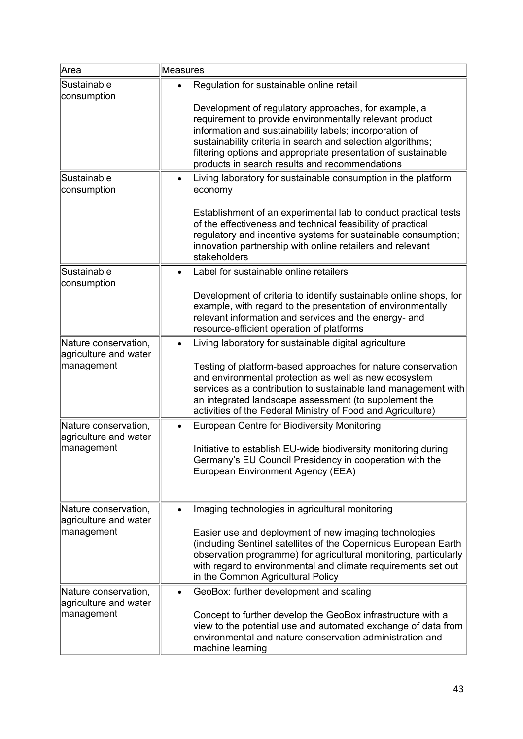| Area                                                        | Measures                                                                                                                                                                                                                                                                                                                                                                                                 |
|-------------------------------------------------------------|----------------------------------------------------------------------------------------------------------------------------------------------------------------------------------------------------------------------------------------------------------------------------------------------------------------------------------------------------------------------------------------------------------|
| Sustainable<br>consumption                                  | Regulation for sustainable online retail<br>Development of regulatory approaches, for example, a<br>requirement to provide environmentally relevant product<br>information and sustainability labels; incorporation of<br>sustainability criteria in search and selection algorithms;<br>filtering options and appropriate presentation of sustainable<br>products in search results and recommendations |
| Sustainable<br>consumption                                  | Living laboratory for sustainable consumption in the platform<br>economy<br>Establishment of an experimental lab to conduct practical tests<br>of the effectiveness and technical feasibility of practical<br>regulatory and incentive systems for sustainable consumption;<br>innovation partnership with online retailers and relevant<br>stakeholders                                                 |
| Sustainable<br>consumption                                  | Label for sustainable online retailers<br>Development of criteria to identify sustainable online shops, for<br>example, with regard to the presentation of environmentally<br>relevant information and services and the energy- and<br>resource-efficient operation of platforms                                                                                                                         |
| Nature conservation,<br>agriculture and water<br>management | Living laboratory for sustainable digital agriculture<br>Testing of platform-based approaches for nature conservation<br>and environmental protection as well as new ecosystem<br>services as a contribution to sustainable land management with<br>an integrated landscape assessment (to supplement the<br>activities of the Federal Ministry of Food and Agriculture)                                 |
| Nature conservation,<br>agriculture and water<br>management | European Centre for Biodiversity Monitoring<br>Initiative to establish EU-wide biodiversity monitoring during<br>Germany's EU Council Presidency in cooperation with the<br>European Environment Agency (EEA)                                                                                                                                                                                            |
| Nature conservation,<br>agriculture and water<br>management | Imaging technologies in agricultural monitoring<br>Easier use and deployment of new imaging technologies<br>(including Sentinel satellites of the Copernicus European Earth<br>observation programme) for agricultural monitoring, particularly<br>with regard to environmental and climate requirements set out<br>in the Common Agricultural Policy                                                    |
| Nature conservation,<br>agriculture and water<br>management | GeoBox: further development and scaling<br>Concept to further develop the GeoBox infrastructure with a<br>view to the potential use and automated exchange of data from<br>environmental and nature conservation administration and<br>machine learning                                                                                                                                                  |